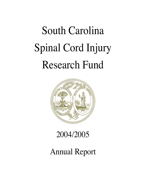# South Carolina Spinal Cord Injury Research Fund



## 2004/2005

## Annual Report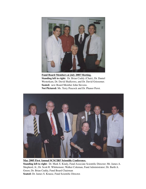

**Fund Board Members at July 2005 Meeting. Standing left to right:** Dr. Brian Cuddy (Chair), Dr. Daniel Westerkam, Dr. David Shallcross, and Dr. David Griesemer. **Seated:** new Board Member John Stevens. **Not Pictured:** Ms. Terry Peacock and Dr. Phanor Perot.



**May 2005 First Annual SCSCIRF Scientific Conference. Standing left to right:** Dr. Mark S. Kindy, Fund Associate Scientific Director; Mr. James A. Shepherd, Jr.; Dr. Scott R. Whittemore; Walker Coleman, Fund Administrator; Dr. Barth A. Green; Dr. Brian Cuddy, Fund Board Chairman **Seated:** Dr. James S. Krause, Fund Scientific Director.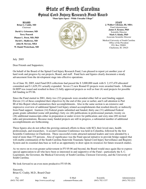## State of South Carolina Spinal Cord Injury Research Fund Board

**"Dum Spiro Spero - While I breathe I Hope"**

**BOARD Brian G. Cuddy, MD** Chairman

**David A. Griesemer, MD Terry Peacock Phanor L. Perot, MD, PhD David L. Shallcross, MD John H. Stevens, MEd W. Daniel Westerkam, MD**



**STAFF J. Walker Coleman, III, MBA** Fund Administrator **James S. Krause, PhD** Scientific Director **Mark S. Kindy, PhD** Associate Scientific Director

Medical University of South Carolina Office of the President P.O. Box 250001 Charleston, SC 29425

July 2005

Dear Friends and Supporters;

On behalf of the Board of the Spinal Cord Injury Research Fund, I am pleased to report yet another year of hard work and progress by our projects, Board, and staff. Fund facts and figures clearly document a steady advancement from the development stage into effective operations.

As of June 30, 2005, total Fund DUI collections had passed the \$ 3,000,000 mark with \$ 2,157,470 allocated/ committed and \$ 1,629,351 actually expended. Seven (7) new Round 03 projects were awarded funds. A Round 04 RFP was issued and resulted in three (3) fully approved projects as well as four (4) seed projects for possible full funding in FY 06.

Since the Fund started in 2001, thirty two (32) proposals were awarded either full or seed funding support. Eleven (11) of these completed their objectives by the end of this year or earlier, and I call attention to Part III of this Report which summarizes their accomplishments. Also in the same section is an extensive and impressive overview of additional Spinal Cord Injury related accomplishments that resulted directly or indirectly from Fund support: fourteen (14) Federal grants submitted and funded; thirty one (31) additional Federal grants grants submitted (some still pending); forty six (46) publications in professional journals; twenty six (26) additional manuscripts either in preparation or under review for publication; and sixty nine (69) invited talks and presentations. Because many funded projects are still in progress, a substantial number of additional accomplishments are forthcoming.

These figures also do not reflect the growing outreach efforts to those with SCI, their loved ones, health professionals, and researchers. A second Consumer Conference was held in Columbia, followed by the first Scientific Conference in Charleston. These successful events attracted national leaders and were attended by a total of more than 375 persons. Also of significance was the Fund special initiative to provide bridge support that will enable continuation of the South Carolina Statewide Traumatic Spinal Cord Injury Surveillance and Registry System and its essential data base as well as an opportunity to draw upon its resources for future research studies.

As we move on to even greater achievement in FY 05-06 and beyond, the Board would once again like to express special appreciation to all who have been so interested in and supportive of the Fund—particularly the S. C. Legislature, the Governor, the Medical University of South Carolina, Clemson University, and the University of South Carolina.

We look forward to an even more productive FY 05-06.

Sincerely, Brian G. Cuddy, M.D., Board Chair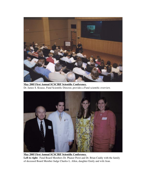

**May 2005 First Annual SCSCIRF Scientific Conference.** Dr. James S. Krause, Fund Scientific Director, provides a Fund scientific overview.



**May 2005 First Annual SCSCIRF Scientific Conference. Left to right:** Fund Board Members Dr. Phanor Perot and Dr. Brian Cuddy with the family of deceased Board Member Judge Charles L. Allen, daughter Emily and wife Jean.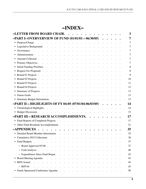## **~INDEX~**

| ~LETTER FROM BOARD CHAIR.                                                                                                                                                                                                                    |                                                                                                                                                                                                                                           |                      |                                                                                    |                      |                      |  |                                                                                                 |  |                      |  |                                                         |                                                                          |  | 3        |
|----------------------------------------------------------------------------------------------------------------------------------------------------------------------------------------------------------------------------------------------|-------------------------------------------------------------------------------------------------------------------------------------------------------------------------------------------------------------------------------------------|----------------------|------------------------------------------------------------------------------------|----------------------|----------------------|--|-------------------------------------------------------------------------------------------------|--|----------------------|--|---------------------------------------------------------|--------------------------------------------------------------------------|--|----------|
| -PART I--OVERVERVIEW OF FUND (01/01/01 - 06/30/05)                                                                                                                                                                                           |                                                                                                                                                                                                                                           |                      |                                                                                    |                      |                      |  |                                                                                                 |  |                      |  |                                                         |                                                                          |  | 7        |
| • Purpose/Charge.                                                                                                                                                                                                                            | the contract of the contract of the contract of the contract of                                                                                                                                                                           |                      |                                                                                    |                      |                      |  |                                                                                                 |  |                      |  |                                                         |                                                                          |  | 7        |
|                                                                                                                                                                                                                                              |                                                                                                                                                                                                                                           |                      |                                                                                    |                      |                      |  |                                                                                                 |  |                      |  |                                                         |                                                                          |  | 7        |
| Governance<br>and the company of the company of the company of the company of the company of the company of the company of the company of the company of the company of the company of the company of the company of the company of the comp |                                                                                                                                                                                                                                           |                      |                                                                                    |                      |                      |  |                                                                                                 |  |                      |  |                                                         |                                                                          |  | 7        |
| Administration.                                                                                                                                                                                                                              |                                                                                                                                                                                                                                           |                      | . The contract of the contract of the contract of the contract of $\mathcal{O}(1)$ |                      |                      |  |                                                                                                 |  |                      |  |                                                         |                                                                          |  | 7        |
| • Amount Collected.                                                                                                                                                                                                                          | $\mathcal{L}^{\mathcal{A}}$ . The set of the set of the set of the set of the set of the set of the set of the set of the set of the set of the set of the set of the set of the set of the set of the set of the set of the set of the s |                      |                                                                                    |                      |                      |  | $\mathcal{L}^{\mathcal{L}}$ , and $\mathcal{L}^{\mathcal{L}}$ , and $\mathcal{L}^{\mathcal{L}}$ |  |                      |  |                                                         |                                                                          |  | 7        |
| • Primary Objectives                                                                                                                                                                                                                         |                                                                                                                                                                                                                                           |                      |                                                                                    |                      |                      |  |                                                                                                 |  |                      |  |                                                         |                                                                          |  | 7        |
|                                                                                                                                                                                                                                              |                                                                                                                                                                                                                                           |                      |                                                                                    |                      |                      |  |                                                                                                 |  |                      |  |                                                         |                                                                          |  | 8        |
| • Request For Proposals                                                                                                                                                                                                                      |                                                                                                                                                                                                                                           |                      |                                                                                    |                      |                      |  |                                                                                                 |  |                      |  |                                                         |                                                                          |  | 8        |
|                                                                                                                                                                                                                                              |                                                                                                                                                                                                                                           |                      |                                                                                    |                      |                      |  |                                                                                                 |  |                      |  |                                                         |                                                                          |  | 9        |
| • Round 02 Projects                                                                                                                                                                                                                          |                                                                                                                                                                                                                                           |                      |                                                                                    |                      |                      |  |                                                                                                 |  |                      |  |                                                         |                                                                          |  | 10       |
|                                                                                                                                                                                                                                              |                                                                                                                                                                                                                                           |                      |                                                                                    |                      |                      |  |                                                                                                 |  |                      |  |                                                         |                                                                          |  | 11       |
|                                                                                                                                                                                                                                              |                                                                                                                                                                                                                                           |                      |                                                                                    |                      |                      |  |                                                                                                 |  |                      |  |                                                         |                                                                          |  | 12       |
| • Summary of Progress                                                                                                                                                                                                                        |                                                                                                                                                                                                                                           |                      |                                                                                    |                      |                      |  |                                                                                                 |  |                      |  |                                                         |                                                                          |  | 13       |
|                                                                                                                                                                                                                                              |                                                                                                                                                                                                                                           |                      |                                                                                    |                      |                      |  |                                                                                                 |  |                      |  |                                                         |                                                                          |  | 13       |
| • Summary Budget Information                                                                                                                                                                                                                 |                                                                                                                                                                                                                                           |                      |                                                                                    |                      |                      |  |                                                                                                 |  |                      |  |                                                         |                                                                          |  | 13       |
| ~PART II—HIGHLIGHTS OF FY 04-05 (07/01/04-06/03/05)                                                                                                                                                                                          |                                                                                                                                                                                                                                           |                      |                                                                                    |                      |                      |  |                                                                                                 |  |                      |  |                                                         |                                                                          |  | 14       |
|                                                                                                                                                                                                                                              |                                                                                                                                                                                                                                           |                      |                                                                                    |                      |                      |  |                                                                                                 |  |                      |  |                                                         |                                                                          |  |          |
| • Chronological Highlights                                                                                                                                                                                                                   |                                                                                                                                                                                                                                           |                      |                                                                                    |                      |                      |  |                                                                                                 |  |                      |  |                                                         |                                                                          |  | 14       |
| • Budget Discussion                                                                                                                                                                                                                          |                                                                                                                                                                                                                                           |                      |                                                                                    |                      |                      |  |                                                                                                 |  |                      |  |                                                         |                                                                          |  | 15       |
|                                                                                                                                                                                                                                              |                                                                                                                                                                                                                                           |                      |                                                                                    |                      |                      |  |                                                                                                 |  | $\ddot{\phantom{a}}$ |  |                                                         |                                                                          |  | 17       |
| ~PART III—RESEARCH ACCOMPLISHMENTS.                                                                                                                                                                                                          |                                                                                                                                                                                                                                           |                      |                                                                                    |                      |                      |  |                                                                                                 |  |                      |  |                                                         |                                                                          |  | 17       |
| • Final Reports of Completed Projects.                                                                                                                                                                                                       |                                                                                                                                                                                                                                           |                      |                                                                                    |                      |                      |  | the contract of the contract of the                                                             |  |                      |  | $\mathbf{L}^{\text{max}}$ and $\mathbf{L}^{\text{max}}$ |                                                                          |  | 21       |
| • Other Fund Resultant Accomplishment                                                                                                                                                                                                        |                                                                                                                                                                                                                                           |                      |                                                                                    |                      |                      |  |                                                                                                 |  |                      |  |                                                         |                                                                          |  |          |
| $\sim$ APPENDICES                                                                                                                                                                                                                            |                                                                                                                                                                                                                                           | $\ddot{\phantom{1}}$ |                                                                                    | $\ddot{\phantom{0}}$ | $\ddot{\phantom{0}}$ |  |                                                                                                 |  |                      |  |                                                         |                                                                          |  | 35       |
| Detailed Board Member Information                                                                                                                                                                                                            |                                                                                                                                                                                                                                           |                      |                                                                                    |                      |                      |  |                                                                                                 |  |                      |  |                                                         |                                                                          |  | 35       |
| • Cumulative DUI Collections                                                                                                                                                                                                                 |                                                                                                                                                                                                                                           |                      | $\bullet$ , and $\bullet$ , and $\bullet$                                          |                      |                      |  | and the contract of the contract of the contract of the con-                                    |  |                      |  |                                                         |                                                                          |  | 36       |
| • Fund Budgets $\ldots$ $\ldots$ $\ldots$ $\ldots$ $\ldots$ $\ldots$ $\ldots$ $\ldots$ $\ldots$ $\ldots$ $\ldots$                                                                                                                            |                                                                                                                                                                                                                                           |                      |                                                                                    |                      |                      |  |                                                                                                 |  |                      |  |                                                         |                                                                          |  | 37       |
| $\sim$ Board Approved 05-06.                                                                                                                                                                                                                 |                                                                                                                                                                                                                                           |                      |                                                                                    |                      |                      |  |                                                                                                 |  |                      |  |                                                         | $\mathbf{r} = \mathbf{r} + \mathbf{r}$ , where $\mathbf{r} = \mathbf{r}$ |  | 37       |
|                                                                                                                                                                                                                                              |                                                                                                                                                                                                                                           |                      |                                                                                    |                      |                      |  |                                                                                                 |  |                      |  |                                                         |                                                                          |  | 40       |
| $\sim$ Expenditures Since Fund Began. $\cdot \cdot \cdot \cdot \cdot \cdot \cdot \cdot \cdot$                                                                                                                                                |                                                                                                                                                                                                                                           |                      |                                                                                    |                      |                      |  |                                                                                                 |  |                      |  | $\mathbf{r}$ , and $\mathbf{r}$ , and $\mathbf{r}$      |                                                                          |  | 42       |
| • Board Meeting Agendas.                                                                                                                                                                                                                     |                                                                                                                                                                                                                                           |                      |                                                                                    |                      |                      |  |                                                                                                 |  |                      |  |                                                         |                                                                          |  | 43       |
|                                                                                                                                                                                                                                              |                                                                                                                                                                                                                                           |                      |                                                                                    |                      |                      |  |                                                                                                 |  |                      |  |                                                         |                                                                          |  | 45       |
| $\sim$ RFP 04<br>والمتواصل والمتواطن والمتواطن والمتواطن والمتواطن والمتواطن والمتواطن والمتواطن والمتواطن<br>• Funds Sponsored Conference Agendas                                                                                           |                                                                                                                                                                                                                                           |                      |                                                                                    |                      |                      |  |                                                                                                 |  |                      |  |                                                         |                                                                          |  | 45<br>50 |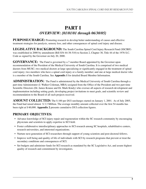## **PART I**  *OVERVIEW: {01/01/01 through 06/30/05}*

**PURPOSE/CHARGE:** Promoting research to develop better understanding of causes and effective treatment strategies for paralysis, sensory loss, and other consequences of spinal cord injury and disease.

**LEGISLATIVE BACKGROUND:** The South Carolina Spinal Cord Injury Research Fund (SSCIRF) was established in 2000 by amendment (Bill S54 44-38-510) to Section 2, Chapter 38, Title 44 of the 1976 S.C. Code as signed by the Governor on July 20, 2000.

**GOVERNANCE:** The Fund is governed by a 7 member Board appointed by the Governor upon recommendation of the President of the Medical University of South Carolina. It is comprised of two medical doctors from MUSC; two medical doctors at large specializing or significantly engaged in the treatment of spinal cord injury; two members who have a spinal cord injury or a family member; and one at large medical doctor who is a member of the South Carolina. See **Appendix 1** for detailed Board Member Information.

**ADMINISTRATION:** The Fund is administered by the Medical University of South Carolina through a part-time Administrator (J. Walker Coleman, MBA) assigned from the Office of the President and two part-time Scientific Directors (Dr. James Krause and Dr. Mark Kindy) who oversee all aspects of research development and implementation including setting goals, developing project invitations to meet goals, and scientific review and recommendation to the Board of all such projects received.

**AMOUNT COLLECTED:** The \$100 per DUI surcharges started on January 1, 2001. As of July 2005, the Fund had raised almost \$ 3.3 Million. The average monthly amount collected over the first 54 months has been right at \$ 60,000. **Appendix 2** presents cumulative DUI collection figures.

#### **PRIMARY OBJECTIVES:**

- Advance knowledge of SCI injury repair and regeneration within the SC research community by encouraging physicians and scientists to apply expertise to SCI field.
- Foster collaborative interdisciplinary approaches to SCI research among SC hospitals, rehabilitative centers, research universities, and interested organizations.
- Nurture next generation of SCI researchers through support of young scientists and post-doctoral fellows.
- Improve well being and quality of life of individuals with SCI by research programs that prevent or treat the secondary conditions and consequences of SCI.
- Set budgets and administer funds for SCI research as mandated by the SC Legislative Act, and assure highest quality of research and commitment by investigators.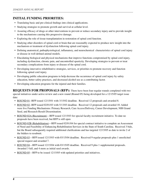#### **INITIAL FUNDING PRIORITIES:**

- Translating basic and pre-clinical findings into clinical applications.
- Studying strategies to promote growth and survival at cellular level.
- Assuring efficacy of drugs or other interventions to prevent or reduce secondary injury and to provide insight to the mechanisms causing this progressive damage.
- Exploring the role of tissue transplantation in restoration of spinal cord function.
- Studying other disorders of spinal cord or brain that are reasonably expected to produce new insight into the mechanism or treatment of dysfunction following spinal cord injury.
- Defining anatomical, pathophysiological, inflamatory, and neurochemical characteristics of spinal cord injury or disease in well defined animal models.
- Elucidating biological and physical mechanisms that improve functions compromised by spinal cord injury, including dysfunction, chronic pain, and uncontrolled spasticity. Developing strategies to prevent or treat secondary complications from injury or disease of the spinal cord.
- Developing innovative rehabilitative strategies, services, or priorities to promote recovery and function following spinal cord injury.
- Developing public education programs to help decrease the occurrence of spinal cord injury by safety education, better safety practices, and decreased alcohol use as a contributing factor.
- Developing education programs for the injured and their families.

**REQUESTS FOR PROPOSALS (RFP):** There have been four regular rounds completed with two special initiatives under active review and a new round (Round 05) being developed for a 12/15/05 target issue date:

- ROUND 01--RFP issued 12/15/01 with 3/15/02 deadline. Received 12 proposals and awarded 8.
- ROUND 02--RFP issued 02/01/03 with 5/13/03 deadline. Received 12 proposals and awarded 10. Added were five Funding Mechanisms: Primary Research, Care Access/Delivery, Career Development, NIH Grand Seed, and Research Result Dissemination.
- ROUND 02A (Recruitment)—RFP issued 12/15/03 for special faculty recruitment initiative. To date no proposals have been received, but RFP is still open
- ROUND 02B (Rehabilitation)—RFP issued 02/01/04 for special contract initiative to complete an Assessment of Need and Feasibility of Enhancing Rehabilitation Services in the State of South Carolina. Received 3 bids, but the Board subsequently required additional clarifications and has targeted 12/15/05 as date to invite 2 of the bidders to resubmit.
- ROUND 03-RFP issued 12/15/03 with 03/15/04 deadline. Received 9 regular proposals plus 1 unsolicited special request and awarded 7.
- ROUND 04—RFP issued 12/15/04 with 03/15/05 deadline. Received 9 plus 1 supplemental proposals. Awarded 3 full, and 4 more as initial seed awards.
- ROUND 05—RFP to be issued 12/15/05 with updated priorities and initiatives.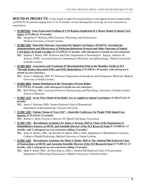**ROUND 01 PROJECTS:** A first round of eight (8) research projects were approved and awarded funds on 07/01/02 for periods ranging from 12 to 18 months, several subsequently receiving no-cost extensions as noted below.

 • **SCIRF0202**--**Gene Expression Profiling of CNS Regions Implicated in a Mouse Model of Spinal Cord Injury** *{\$ 85,466 for 18 months}*

**P.I.:** Jacqueline F. McGinty, PhD, Professor, Physiology and Neuroscience Medical University of South Carolina

 • **SCIRF 0302**--**Statewide Outcome Assessment for Spinal Cord Injury (SOASCI): Assessing the Implementation and Effectiveness of Methylprednisoleone Protocol and Other Outcomes of Spinal Cord Injury In South Carolina** *{\$ 123,349 for 12 months, with subsequent 12 month no-cost extension}*

**P.I.:** Stephen J. Haines, MD, Professor and Chair, Department of Neurological Surgery, Anbesaw W. Selassie, DrPH., Assistant Professor, Department of Biometry and Epidemiology., Medical University of South Carolina

 • **SCIRF 0602**--**Assessment and Treatment of Musculoskeletal Pain in the Shoulder Girdle in SCI Through Surface-Recorded EMG and EMG Biofeedback** *{\$ 91,990 for 18 months, with subsequent 6 month no-cost extension }*

**P.I.:** Susan J. Middaugh, PhD, PT, Professor, Department of Anesthesia and Perioperative Medicine, Medical University of South Carolina

 • **SCIRF 0802**--**Spinal Modulation of the Nociceptive Pressor Reflex** *{\$ 87,978 for 18 months, with subsequent 6 month no-cost extension }* 

**P.I.:** Britt Wilson, PhD., Associate Professor, Pharmacology and Physiology, University of South Carolina School of Medicine.

 • **SCIRF 1102**--**An In Vitro Model of the Reflex Arc as Applied to Spinal Cord Injury** *{\$ 100,252 for 18 months}*

**P.I.:** James J. Hickman, PhD., Hunter Endowed Chair of Biomaterials Department of Bioengineering, Clemson University

 • **SCIRF 1202**--**Taking Charge of Your Life"—Statewide Conference for People With Spinal Core Injuries** *{\$ 29,476 for 12 months}* 

**P.I.:** Kermit L. Short, Executive Director, SC Spinal Cord Injury Association

 • **SCIRF 1302**—**Recruitment Assistance for James S. Krause, PhD as Chair of the Department of Rehabilitative Sciences at MUSC and Scientific Director of the SCI Research Fund** *{\$ 125,000 for 12 months, with 2 subsequent no-cost extensions adding 24 months}*

**P.I.:** James S. Krause, PhD., (& Danielle N. Ripich, PhD.), Chair, Department of Rehabilitative Sciences, College of Health Professions, Medical University of South Carolina

 • **SCIRF 1402**—**Recruitment Assistance for Mark S. Kindy, PhD as The Admiral Pihl Endowed Chair of Neuroscience at MUSC and Associate Scientific Director of the SCI Research Fund** *{\$ 75,000 for 12 months, with 2 subsequent no-cost extensions adding 24 months}*

**P.I.:** Mark S. Kindy, PhD., (& Peter Kalivas, PhD.), Admiral Pihl Endowed Chair of Neuroscience, Department of Physiology/Neuroscience, Medical University of South Carolina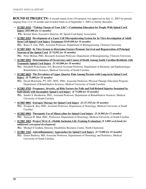**ROUND 02 PROJECTS:** A second round of ten (10) projects was approved on July 11, 2003 for periods ranging from 12 to 18 months and awarded funds as of September 1, 2003 or shortly thereafter.

- **SCIRF 0103**--**"Taking Charge of Your Life"—Continuing Education for People With Spinal Cord Injury** *{\$65,000 for 12 months}* **P.I.:** Kermit Short, Executive Director, SC Spinal Cord Injury Association
- **SCIRF 0303**--**Development of a Laser Cell Micropatterning System for In Vitro Investigation of Adult Stem Cell Spinal Cord Injury Treatment** *{\$149,890 for 18 months}* **P.I.:** Bruce Z. Gao, PhD., Assistant Professor, Department of Bioengineering, Clemson University
- **SCIRF 0403**--**In Vitro System to Determine Factors Promote Survival and Regeneration of Principal Neurons of the Spinal Cord** *{\$ 74,892 for 18 months}* **P.I.:** Peter Molnar, PhD., Research Assistant Professor, Department of Bioengineering, Clemson University
- **SCIRF 0503**--**Determination of Occurrence and Causes of Death Among South Carolina Residents with Traumatic Spinal Cord Injury** *{\$ 145,000 for 18 months}*

**P.I.:** Elisabeth Pickelsimer, DA, Research Assistant Professor, Department of Biometry and Epidemiology/ Rehabilitative Sciences, Medical University of South Carolina

 • **SCIRF 0603**--**The Prevalence of Upper Quarter Pain Among Persons with Long-term Spinal Cord Injury** *{\$ 75,000 for 18 months}*

**P.I.:** David Morrisette, PT, ATC, MTC, PhD., Associate Professor, Physical Therapy Education Program, Department of Rehabilitative Sciences, Medical University of South Carolina

 • **SCIRF 0703**--**Frequency, Severity, ad Risk Factors for Falls and Fall-Related Injuries Sustained by Individuals with Incomplete Spinal Cord Injury** *{\$ 75,000 for 18 months}*

**P.I.:** Sandra S. Brotherton, PhD., Assistant Professor, Department of Rehabilitative Sciences, Medical University of South Carolina

- **SCIRF 0803**--**Estrogen Therapy for Spinal Cord Injury** *{\$ 137,592 for 18 months}* **P.I.:** Swapan K. Ray, PhD., Assistant Professor, Department of Neurology, Medical University of South Carolina
- **SCIRF 0903**--**Theraputic Use of Minocycline for Spinal Cord Injury** *{\$ 24,988 for 12 months}* **P.I.:** Narayan R. Bhat, PhD., Professsor, Department of Neurology, Medical University of South Carolina
- **SCIRF 1003**--**Project M.I.L.E. (Mobile Inclusion Life-Training Evaluation)** *{\$ 3,000 seed funds for additional conceptual development}*

**P.I.:** Michael E Godkin, Director, Disabilities Resource Center, North Charleston

- **SCIRF 1103**--**Anti-inflammatory Approaches for Spinal Cord Injury** *{\$ 75,000 for 18 months}*
	- **P.I.:** Ernest Barbosa, MD, Associate Professor, Departments of Neurology and Pediatrics, Medical University of South Carolina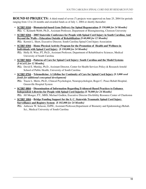**ROUND 03 PROJECTS:** A third round of seven (7) projects were approved on June 25, 2004 for periods ranging from 12 to 24 months and awarded funds as of July 1, 2004 or shortly thereafter:

- **SCIRF 0104**—**Biomaterial-based Gene Delivery for Spinal Regeneration** *{\$ 150,000 for 24 Months}* **P.I.:** C. Kenneth Webb, Ph.D., Assistant Professor, Department of Bioengineering, Clemson University
- **SCIRF 0204**—**2005 Statewide Conference for People with Spinal Cord Injury in South Carolina; And Beyond the Walls—Education Outside of Rehabilitation** *{\$ 60,000 for 12 Months}* **P.I.:** Kermit L. Short, Executive Director, South Carolina Spinal Cord Injury Association
- **SCIRF 0304**—**Home Physical Activity Program for the Promotion of Health and Wellness in Individuals with Spinal Cord Injury** *{\$ 150,000 for 24 Months}*

**P.I.:** Holly H. Wise, PT, Ph.D., Assistant Professor, Department of Rehabilitative Sciences, Medical University of South Carolina

- **SCIRF 0604**—**Patterns of Care for Spinal Cord Injury: South Carolina and the Model Systems** *{\$ 61,632 for 12 Months}*
	- **P.I.:** David E. Murday, Ph.D., Assistant Director, Center for Health Services Policy & Research Arnold School of Public Health, University of South Carolina
- **SCIRF 0704**—**Telemedicine: A Lifeline for Continuity of Care for Spinal Cord Injury** *{\$ 3,000 seed funds for additional conceptual development}*

**P.I.:** Tracie L. Mertz, Ph.D., Clinical Psychologist, Neuropsychologist, Roger C. Peace Rehab Hospital, Greenville Hospital System

- **SCIRF 0804**—**Dissemination of Information Regarding Evidenced-Based Practices to Enhance Independent Lifestyles for People with Spinal Cord Injuries** *{\$ 70,000 for 24 Months}* **P.I.:** Jill Monger, P.T., MHS; Michael Godkin, Executive Director DisAbility Resource Center of Charleston
- **SCIRF 1004**—**Bridge Funding Support for the S. C. Statewide Traumatic Spinal Cord Injury Surveillance and Registry System** *{\$ 102,000 for 24 Months}*
	- **P.I.:** Anbesaw W. Selassie, DrPH., Assistant Professor,Department of Biometry and Epidemiology/Rehab. Sci., Medical University of South Carolina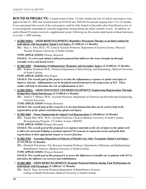**ROUND 04 PROJECTS:** A fourth round of three (3) fully funded and four (4) initial seed projects were approved July 01, 2005 and awarded funds on 07/01/05 and 09/01/02 for periods ranging from 3.5 to 24 months. It was anticipated that several of the seed projects could be fully funded in December after Fund Board review of revised proposals responding to concerns/suggestions arising during the initial scientific review. In addition, an earlier Round 02 project received a supplemental award. Following are the awards made based on Board decisions at its July 1, 2005 meeting:

- **SCIRF 0105A**—**(SEED REDEVELOPMENT) Repetitive Movement Therapy as an Intervention for Individuals with Incomplete Spinal Cord Injury** *{\$ 5,000 for 3.5 Months}*
	- **P.I.:** Stacy L. Fritz, Ph.D., PT, Clinical Assistant Professor, Department of Exercise Science, Physical Therapy Program, University of South Carolina

 **TYPE APPLICATION:** Primary Research

 **GOALS:** *To revise and submit a full grant proposal that addresses the issues brought up through scientific review and board review.*

 **• SCIRF 0205**—**Modulation of Inflammatory Response and Secondary Injury** *{\$ 25,000 for 12 Months}* **P.I.:** Stephen Tomlinson Ph.D., Professor,Department of Microbiology and Immunology, Medical University of South Carolina

 **TYPE APPLICATION:** Pilot Project

 **GOALS:** *The overall goal of this project is to alter the inflammatory response in spinal cord injury to improve outcome. Inflammation can be beneficial and detrimental in the progression of SCI. These studies will help to determine the role of inflammation in SCI.* 

 **• SCIRF 0505A**—**(SEED INITIATION AND REDEVELOPMENT) Engineering Regeneration Through Bridge/Host Distal Interference** *{\$ 25,000 for 6 Months}*

**P.I.:** Andrew T. Metters, Ph.D., Assistant Professor, Department of Chemical and Biomolecular Engineering, Clemson University

 **TYPE APPLICATION:** Primary Research

 **GOALS:** *The overall goal of this research is to develop biomaterials that can be used to help in the regeneration of the spinal cord following spinal cord injury.* 

- **SCIRF 0605**—**Tissue Engineering for Spinal Cord Regeneration** *{\$ 100,000 for 24 Months}*
	- **P.I.:** Xuejun Wen, M.D., Ph.D., Assistant Professor, Clemson-Medical University of South Carolina Bioengineering Program, 173 Ashley Avenue, CRI#305

 **TYPE APPLICATION:** Primary Research

 **GOALS:** *The overall goal of this proposal is to engineer materials at the site of injury in the spinal cord to allow for neuronal bridging to promote injured CNS neurons to regenerate axons and guide their regeneration to their appropriate targets to recover function.*

- **SCIRF 0705**—**Assessing Disparities in Patterns of Health Care After Traumatic Spinal Cord Injury** *{\$ 119,598 for 24 Months}*
	- **P.I.:** Elisabeth Pickelsimer, DA, Research Assistant Professor, Department of Biometry and Epidemiology/ Rehabilitative Sciences, Medical University of South Carolina

**TYPE APPLICATION:** Primary Research

 **GOALS:** *The overall goal of this proposal is to assess the differences in health care to patients with SCI to determine the influence on recovery and rehabilitation.*

 **• SCIRF 0805**—**(SEED REDEVELOPMENT) Dynamic Postural Patterns during Task Performance in Individuals with Paraplegia** *{\$ 5,000 for 3.5 Months}*

**P.I.:** Hon K. Yuen, Associate Professor, Department of Rehabilitative Sciences College of Health Professions, Medical University of South Carolina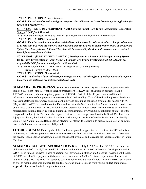**TYPE APPLICATION:** Primary Research

 **GOALS:** *To revise and submit a full grant proposal that addresses the issues brought up through scientific review and board review.*

 **• SCIRF 1005**—**(SEED DEVELOPMENT) South Carolina Spinal Cord Injury Association Cooperative Study** *{\$ 5,000 for 9 Months}*

 **P.I.:** Richard F. Bridges, Executive Director, South Carolina Spinal Cord Injury Association  **TYPE APPLICATION:** Educational

 **GOALS:** *To bring together appropriate stakeholders and advisers in order to develop a plan for education of people with SCI from the state of South Carolina that will be done in collaboration with South Carolina Spinal Cord Injury Research Fund. This plan will be reviewed by the Board of Directors and a contract issued for appropriate activities.*

 **• SCIRF 0303S**—**(SUPPLEMENTAL AWARD) Development of a Laser Cell Micropatterning System for In Vitro Investigation of Adult Stem Cell Spinal Cord Injury Treatment** *{\$ 23,000 added to the original \$149,890 for an extended period of 30 months}*

 **P.I.:** Bruce Z. Gao, PhD., Assistant Professor, Department of Bioengineering Clemson University 20634-0905

**TYPE APPLICATION:** Grant-in-Aid

 **GOALS:** *To develop a laser cell micropatterning system to study the effects of endogenous and exogenous factors on the biological properties of adult stem cells.*

**SUMMARY OF PROGRESS:** So far there have been thirteen (13) Basic Science projects awarded a total of \$ 1,040,466; nine (9) Applied Science projects for \$ 731,220; six (6) Education projects totaling \$ 232,476; and one (1) Interdisciplinary project at \$ 123,349. Part III of this Report contains additional information on some of the projects that have completed their funding. Two of the education projects held very successful statewide conferences on spinal cord injury and continuing education programs for people with SC (May of 2003 and 2005). In addition, the Fund and its Scientific Staff held the first Annual Scientific Conference on the MUSC campus May 13, 2005 which included presentations about current and future state of spinal cord research from national leaders as well as findings/accomplishments by Principle Investigators of ten (10) of the completed Fund projects. The Fund also organized, financed, and co-sponsored (with the South Carolina Brain Injury Association, the South Carolina Brain Injury Alliance, and the South Carolina Brain Injury Leadership Council) the "South Carolina Rehabilitation Meeting" of statewide leadership to discuss parameters of an acute care rehabilitation services need/feasibility study.

**FUTURE GOALS:** Future goals of the Fund are to provide support for the recruitment of SCI scientists to the state, and selected programs to enhance ever-evolving Fund priorities. Additional goals are to determine the need for rehabilitation services, to provide educational programs and to reduce the incidence of SCI in South Carolina.

**SUMMARY BUDGET INFORMATION** Between July 1, 2002 and June 30, 2005, the Fund has obligated a total of \$ 2,423,973 (\$ 99,603 in Administration/Other; \$ 166,900 in Research Development; and \$ 2,157,470 in funded Projects). These obligations will cover Administration and Scientific Development through 06/30/06, and all of the projects until they end, some as late as on 06/30/07. Actual expenditures for the period totaled \$ 1,629,351. The Fund is expected to continue collections at a rate of approximately \$ 60,000 per month as well as recoup additional unexpended funds at year-end and project-end from various budget components. **Appendix 3** presents detailed budget information.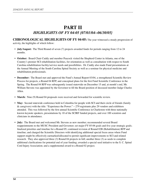## **PART II**  *HIGHLIGHTS OF FY 04-05 {07/01/04--06/30/05}*

**CHRONOLOGICAL HIGHLIGHTS OF FY 04-05:** The year witnessed a steady progression of

activity, the highlights of which follow:

- **July/August:** The Third Round of seven (7) projects awarded funds for periods ranging from 12 to 24 months.
- **October:** Board Chair Cuddy and member Peacock visited the Shepherd Center in Atlanta, one of the Country's premier SCI rehabilitation facilities, for orientation as well as consultation with respect to South Carolina rehabilitation facility/service needs and possibilities. Dr. Cuddy also made Fund presentations at the Annual Meeting of the South Carolina Spinal Society as well as a seminar for physical medicine and rehabilitation professionals.
- **December:** The Board met and approved the Fund's Annual Report 03/04, a strengthened Scientific Review Process for projects, a Round 04 RFP, and conceptual plans for the first Fund Scientific Conference in the Spring. The Round 04 RFP was subsequently issued statewide on December 15 and, at month's end, Mr. William Stevens was appointed by the Governor to fill the Board position of deceased member Judge Charles Allen.
- **March:** Nine (9) Round 04 proposals were received and forwarded for scientific review.
- May: Second statewide conference held in Columbia for people with SCI and their circle of friends (family & caregivers) with the title: "Experience the Power:" $-279$  registrants plus 29 vendors and exhibitors attended. This was followed by the first annual Scientific Conference in Charleston with three nationally known keynote speakers, presentations by 10 of the SCIRF funded projects, and over 100 scientists and clinicians in attendance.
- **July:** The Board met and welcomed Mr. Stevens as new member; recommended several Board reappointments to the MUSC President and Governor; set major FY 05-06 goals and five year strategic goals; finalized priorities and timeline for a Round 05; continued revision of Round 02B (Rehabilitation) RFP and timeline; and charged the Scientific Directors with identifying additional special focus areas where Fund support might be effectively earmarked/allocated to permit significant improvements to SCI and related research. They also approved three (3) Round 04 projects in full; another three (3) as seeds to complete additional clarifications for potential end of year funding; awarded a special seed initiative to the S. C. Spinal Cord Injury Association; and a supplemental award to a Round 02 project.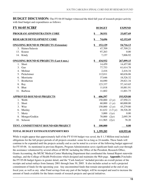**BUDGET DISCUSSION:** The FY 04-05 budget witnessed the third full year of research project activity with final budget and expenditures as follows:

|              | <b>FY 04-05 SCIRF</b>                          | <b>BUDGET</b>              | <b>EXPEND</b>    |            |
|--------------|------------------------------------------------|----------------------------|------------------|------------|
|              | PROGRAM ADMINISTRATION CORE                    | \$<br>30,931               |                  | 33,057.69  |
|              | <b>RESEARCH DEVELOPMENT CORE</b>               | \$<br>74,696               |                  | 62,152.69  |
|              | <b>ONGOING ROUND 01 PROJECTS (Extension)</b>   | \$<br>152,129              |                  | 54,716.13  |
|              | 3. Haines/Salassie                             | 47,709                     |                  | 47,709.21  |
| 13.          | Krause                                         | 97,263                     |                  | 0.00       |
|              | 14. Kindy                                      | 7,157                      |                  | 7,006.92   |
|              | <b>ONGOING ROUND 02 PROJECTS (Last 6 mos.)</b> | \$<br>434,932              |                  | 267,099.15 |
|              | 1. Short                                       | 14,459                     |                  | 14,457.00  |
| 3.           | Gao                                            | 77,753                     |                  | 61,614.78  |
| 4.           | Molinar                                        | 2,416                      |                  | 2,416.34   |
| 5.           | Pickelsimer                                    | 112,011                    |                  | 60,636.06  |
| 6.           | Morrisette                                     | 37,646                     |                  | 18,526.32  |
| 7.           | <b>Brotherton</b>                              | 44,690                     |                  | 29,821.34  |
| 8.           | Ray                                            | 123,337                    |                  | 57,143.65  |
| $\mathbf{Q}$ | <b>Bhat</b>                                    | 11,018                     |                  | 10,881.91  |
| 11.          | Barbosa                                        | 11,602                     |                  | 11,601.75  |
|              | <b>APPROVED ROUND 03 PROJECTS</b>              | \$<br>606,597              |                  | 193,929.80 |
|              | 1. Webb                                        | 150,000                    | $(2 \text{ yr})$ | 47,950.21  |
| 2.           | Short                                          | 60,000                     | $(1 \text{ yr})$ | 60,000.00  |
| 3.           | Wise                                           | $150,000$ $(2 \text{ yr})$ |                  | 45,279.80  |
| 6.           | Murday                                         |                            | 61,632 (1.5 yr)  | 38,526.20  |
| 7.           | Mertz                                          | 3,000                      | (1yr)            | 0.00       |
| 8.           | Monger/Godkin                                  | 70,000                     | (2yr)            | 2,095.39   |
| 10.          | Selassie                                       | 111,965                    | (2yr)            | 78.20      |
|              | TENT. COMMITTMENT ROUND 02B PROJECT            | \$<br>100,000              |                  | 0.00       |
|              | <b>TOTAL BUDGET ESTIMATE/EXPENDITURES</b>      | \$<br>1,399,285            |                  | 610,955.46 |

While it might appear that approximately half of the FY 03-04 budget was saved, the \$1.3 Million total included obligations for the full project periods of all projects awarded--some for as long as 24 months. These funds will continue to be expended until the projects actually end as can be noted in a review of the following budget approved for FY 05-06. As mentioned in previous Reports, Program Administration saves significant funds each year through the assistance volunteered by several offices of MUSC including the Office of the President, Research Office, Grants Accounting, the MUSC Medical Center Marketing Department that coordinated the Annual Report statewide mailings, and the College of Health Professions which designed and maintains the Web page. **Appendix 3** includes the FY 05-06 budget figures in greater detail, and the "Cash Analysis" included provides an overall picture of the receipts and actual outlays from January 2001 through June 30, 2005. It also includes actual as well a projected commitment of funds for the upcoming year. Any uncommitted funds that remain unexpended at the end of any fiscal year, as well as any other Fund savings from any part of the budget, will be recouped and used to increase the amount of funds available for the future rounds of research projects and special initiatives.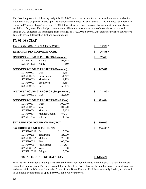The Board approved the following budget for FY 05-06 as well as the additional estimated amount available for Round 02A and 04 projects based upon the previously mentioned "Cash Analysis". This will once again result in a year-end "Reserve Target" exceeding \$ 800,000 as set by the Board to assure that sufficient funds are always available to fully meet Fund budget commitments. Given the constant variation of monthly totals received through DUI collection (so far ranging from averages of \$ 72,000 to \$ 60,000), the Board established the Reserve Target to assure full fiscal control and accountability.

#### **FY 05-06 SCIRF**

| PROGRAM ADMINISTRATION CORE                    | \$<br>$35,250*$                    |             |                         |
|------------------------------------------------|------------------------------------|-------------|-------------------------|
| <b>RESEARCH DEVELOPMENT CORE</b>               |                                    |             | \$<br>76,458*           |
| <b>ONGOING ROUND 01 PROJECTS (Extension)</b>   |                                    |             | $\frac{1}{2}$<br>97,413 |
| <b>SCIRF 1302</b>                              | Krause                             | 97,263      |                         |
| <b>SCIRF 1402</b>                              | Kindy                              | 150         |                         |
| <b>ONGOING ROUND 02 PROJECTS (Extension)</b>   |                                    |             | \$<br>167,692           |
| <b>SCIRF 0303</b>                              | Gao                                | 16,138      |                         |
| <b>SCIRF 0503</b>                              | Pickelsimer                        | 51,347      |                         |
| <b>SCIRF 0603</b>                              | Morrisette                         | 19,119      |                         |
| <b>SCIRF 0703</b>                              | <b>Brotherton</b>                  | 14,868      |                         |
| <b>SCIRF 0803</b>                              | Ray                                | 66,193      |                         |
| <b>ONGOING ROUND 02 PROJECT (Supplemental)</b> |                                    |             | \$<br>$22,300*$         |
| <b>SCIRF 0303S</b>                             | Gao                                | 22,300      |                         |
| <b>ONGOING ROUND 03 PROJECTS (Final Year)</b>  |                                    |             | \$<br>409,664           |
| <b>SCIRF 0104</b>                              | Webb                               | 102,049     |                         |
| <b>SCIRF 0304</b>                              | Wise                               | 104,720     |                         |
| <b>SCIRF 0604</b>                              | Murday                             | 23,105      |                         |
| <b>SCIRF 0804</b>                              | Monger/Godkin                      | 67,904      |                         |
| <b>SCIRF 1004</b>                              | Selassie                           | 111,886     |                         |
| <b>SET ASIDE FOR ROUND 02B PROJECT</b>         |                                    |             | \$<br>100,000           |
| <b>AWARDED ROUND 04 PROJECTS</b>               |                                    |             | \$<br>284,598*          |
| SCIRF 0105A Fritz                              |                                    | \$<br>5,000 |                         |
| <b>SCIRF 0205</b>                              | Tomlinson                          | 25,000      |                         |
| SCIRF 0505A Metters                            |                                    | 25,000      |                         |
| <b>SCIRF 0605</b>                              | Wen                                | 100,000     |                         |
| <b>SCIRF 0705</b>                              | Pickelsimer                        | 119,598     |                         |
| SCIRF 0805A                                    | Yuen                               | 5,000       |                         |
| <b>SCIRF 1005A</b>                             | <b>Bridges</b>                     | 5,000       |                         |
|                                                | <b>TOTAL BUDGET ESTIMATE 05/06</b> |             | \$1,193,375             |

\*NOTE: These four items totaling \$ 418,606 are the only new commitments in the budget. The remainder were committed in prior years. The three Round 04 projects with an "A" following the number were requested to revise and resubmit in mid-October for another Scientific and Board Review. If all three were fully funded, it could add an additional commitment of up to \$ 360,000 for a two year period.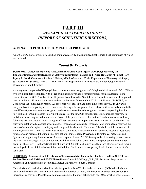### **PART III** *RESEARCH ACCOMPLISHMENTS (REPORT OF SCIENTIFIC DIRECTORS)*

#### **A. FINAL REPORTS OF COMPLETED PROJECTS**

As of 6/30/05, the following projects had completed activity and submitted final reports, brief summaries of which are included:

#### *Round 01 Projects*

**SCIRF 0302**--**Statewide Outcome Assessment for Spinal Cord Injury (SOASCI): Assessing the Implementation and Effectiveness of Methylprednisoleone Protocol and Other Outcomes of Spinal Cord Injury In South Carolina** --Stephen J. Haines, MD, Professor and Chair, Department of Neurological Surgery & Anbesaw W. Selassie, DrPH., Assistant Professor, Department of Biometry and Epidemiology, Medical University of South Carolina

A survey was completed of ED physicians, trauma and neurosurgeons on Methylprednisolone use in SC. Thirtyfive of 62 hospitals responded, with 14 reporting having ever had a formal protocol for methylprednisolone administration for SCI. Twelve of the 14 protocols conformed to NASCIS 2 or 3 specifications, and 13 reported date of initiation. Five protocols were initiated in the years following NASCIS 2, 6 following NASCIS 3, and 2 following the Joint Section report. All protocols were still in place at the time of the survey. In univariate analyses, hospitals reporting ever (versus never) having a formal protocol were those with more beds, more fulltime ED staff, more active neurosurgeons, and more active orthopedic surgeons. Among responding hospitals, 40% initiated formal protocols following the release of the NASCIS results suggesting enhanced recovery in individuals receiving methylprednisolone. None of the protocols were discontinued in the months immediately following the Joint Section report citing insufficient evidence to support treatment standards or guidelines. The study also established a contact list of potential research participants for research. Also completed a study on the causes of death after spinal cord injury and compared the data with Colorado. Published 1 article in Journal of Trauma, submitted 2, and 1 is under final review. Conducted a survey on unmet needs and receipt of post-acute rehab care and presented the findings at two national conferences. Provided epidemiological data, facts and figures, and supporting documents to 17 research applications to MUSC faculty and collaborating partners around the state. Key Findings: 2 out of 3 South Carolinians with Spinal Cord Injury have poor general health after acquiring the injury. 1 out of 2 South Carolinians with Spinal Cord Injury lose their jobs after injury and remain unemployed. 1 out of 4 South Carolinians with Spinal Cord Injury do not get any kind of rehab treatment after acute care.

**SCIRF 0602**--**Assessment and Treatment of Musculoskeletal Pain in the Shoulder Girdle in SCI Through Surface-Recorded EMG and EMG Biofeedback**--Susan J. Middaugh, PhD, PT, Professor, Department of Anesthesia and Perioperative Medicine, Medical University of South Carolina

Musculoskeletal cervical and shoulder pain is a problem for 42% of spinal cord injured (SCI) individuals who use manual wheelchairs. Prevalence increases with duration of injury and becomes an added concern for SCI individuals as they age. Prevalence also increases among the most active, with over 60% of wheelchair athletes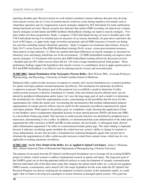reporting shoulder pain. Recent research on work-related cumulative trauma indicates that pain may develop from muscle overuse due to (1) loss of normal muscle work/rest cycles during repetitive movements such as wheelchair operation and (2) compensatory muscle strategies adopted by SCI individuals for trunk stabilization during functional activities. Recent research also indicates that surface EMG recording can objectively evaluate muscle strategies in individuals and EMG feedback (biofeedback) training can improve muscle strategies. Two pilot studies test these propositions. Study 1 compares 15 SCI individuals having cervical or shoulder pain with 9 SCI individuals having 0-to-minimal pain on measures of (a) sensory thresholds, (b) pain above and below the level of SCI injury, (c) upper body range-of-motion and posture and (d) EMG measures of muscle use during test activities including manual wheelchair operation. Study 2 compares two treatment interventions, Exercise Only (N=7) versus Exercise Plus EMG Biofeedback training (N=8), on pre- versus post-treatment measures. Data analysis to date indicates: (1) There are marked individual differences in muscle strategies as measured on laboratory tests and during wheelchair use in the environment. (2) EMG biofeedback training can improve these muscle strategies. (3) Treatment with exercise plus EMG biofeedback training effectively decreased cervical / shoulder pain ( $p \le 0.05$ ) while exercise alone did not (10-week average treatment period, both groups). These preliminary findings support the hypotheses that muscle overuse is a contributory factor in upper-quarter pain in SCI and EMG biofeedback is an effective tool in reducing muscle overuse and associated pain.

**SCIRF 0802**--**Spinal Modulation of the Nociceptive Pressor Reflex**--Britt Wilson, PhD., Associate Professor, Pharmacology and Physiology, University of South Carolina School of Medicine.

Enhanced reflex cardiovascular increases in response to somatic and visceral stimulation are a common problem for spinal cord injury patients (termed autonomic dysreflexia). The mechanism for autonomic dysreflexia is unknown at present. The primary goal of this proposal was to establish a model to determine if reflex cardiovascular increases evoked by stimulation o1 somatic (skin and skeletal muscle) afferent neur! ons are altered by peripheral inflammation and/or injury. In t! urn, the long-range goal of such a model is to determine the mechanism(s) by which this augmentation occurs, concentrating on the possibility that the locus for this augmentation lies within the spinal cord. Ascertaining the mechanism(s) that mediate inflammation-induced augmentation of somatic pressor reflexes may be useful for the autonomic dysreflexia experienced by spinal cord injury patients. With regard to the primary goal, we completed a study showing that application of heat to one hindpaw causes a temperature dependent increase in mean arterial pressure (MAP) and heart rate (MR) in a decerebrate Guinea pig model. This increase in cardiovascular function was abolished by peripheral nerve transection, demonstrating it was a reflex. In addition, we demonstrated that acute inflammation of the ankle joint augmented the reflex increases in MAP and HR in male animals, but not female. A subsequent study showed ankle inflammation augmented t! he reflex in ovariectomized female guinea pigs. This latter finding is important because it indicates circulating agents modulate the central nervous system's ability to change in response to tissue inflammation. In turn, this provides a foundation for exploring therapeutic agents that can prevent or eliminate the augmentation of reflex cardiovascular increases evoked from somatic tissue, which may be very applicable to treating autonomic dvsreflexia.

**SCIRF 1102**--**An In Vitro Model of the Reflex Arc as Applied to Spinal Cord Injury**--James J. Hickman, PhD., Hunter Endowed Chair of Biomaterials Department of Bioengineering, Clemson University

The purpose of our grant from the SC Spinal Cord Research Foundation was to leverage off an existing DARPA project in robotic control systems to address fundamental research in spinal cord injury. The long-term goal of the DARPA grant was to develop patterned artificial surfaces to study development of synaptic communication between individual cells of the three basic types that comprise the spinal stretch reflex arc: a dorsal root ganglion (DRG) neuron, a motoneuron, and a muscle cell. Our major hypothesis for the work under the SC Spinal Cord Research Program was that by studying the development of neural circuitry in this minimalist model, we could apply what we learn to develop new paradigms to restore function in damaged spinal systems. This grant has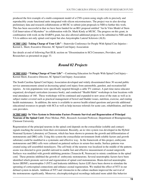produced the first example of a multi-component model of a CNS system using single cells to precisely and reproducibly create functional units integrated with silicon microstructures. The project was to also develop preliminary data and research collaborations at MUSC to submit joint proposals to NIH to further this work. This has been successful in that we have been funded for an R01 proposal entitled "An In Vitro Model of Stem Cell Innervation of Myotubes" in collaboration with Dr. Mark Kindy at MUSC. The progress on this grant, in combination with work on the DARPA grant, has also allowed additional projects to be submitted to NIH and the VA to address not only spinal cord repair but also Amyotrophic Lateral Sclerosis (ALS).

**SCIRF 1202**--**Taking Charge of Your Life"**—Statewide Conference for People With Spinal Core Injuries-- Kermit L. Short, Executive Director, SC Spinal Cord Injury Association

See details at end of following Part III.B, section on "Dissemination to SCI Consumers, Providers, and Researchers as presented on page 33.

#### *Round 02 Projects*

**SCIRF 0103**--**"Taking Charge of Your Life"**—Continuing Education for People With Spinal Cord Injury-- Kermit Short, Executive Director, SC Spinal Cord Injury Association

The South Carolina Spinal Cord Injury Association developed and widely disseminated three 30 second public service announcements aimed at decreasing spinal cord injury from automobile, gunshot, and recreation/fall injuries. At risk populations were specifically targeted through a cable TV contract. A part-time nurse educator organized, developed curriculum (resource book), and conducted "Health Habit" workshops in four locations with total attendance of 160. These workshops will be continued and expanded to new areas of the state as well as in subject matter covered such as practical management of bowel and bladder issues, nutrition, exercise, and routing health maintenance. In addition, the nurse is available to answer health related questions and provide additional educational resources to people with SCI as well as help increase referrals for acute care, rehabilitation, and home care providers.

**SCIRF 0403**--**In Vitro System to Determine Factors Promote Survival and Regeneration of Principal Neurons of the Spinal Cord**--Peter Molnar, PhD., Research Assistant Professor, Department of Bioengineering, Clemson University

Regeneration of the principal neurons in the spinal cord depends on the extracellular (soluble and contact) signals reaching the neurons from their environment. Recently, an in vitro system was developed in the Hybrid Neuronal Systems Laboratory at Clemson, which has been shown to promote the growth and differentiation of motoneurons and DRG cells. Using this system the extracellular environment (both soluble factors and growth substrate) could be modified in a systematic and effective way. In the framework of this project, embryonic motoneurons and DRG cells were cultured on pattered surfaces in serum-free media. Surface patterns was created using self-assembled monolayers. The cell body of the neurons was localized in the middle of the pattern; axons was directed to grow parallel outward to enable fast and effective measurement of axonal outgrowth. Surfaces was modified with growth inhibiting proteins (Tenascin-R, Neurocan) to mimic conditions in the spinal cord. These proteins inhibited the growth of embryonic motoneurons. Several neurotrophic factors have been identified which promote survival and regeneration of spinal cord motoneurons. Brain-derived neurotrophic factor (BDNF), neurotrophin-3 (NT3) and leukemia inhibitory factor (LIF) have been shown to stimulate the sprouting of corticospinal connections and enhance axonal regeneration. We studied the effect of NT3 in our defined system in details. Addition of NT3 and vitronectin to the culture medium improved the survival of the motoneurons significantly. Moreover, electrophysiological recordings indicated more adult-like behavior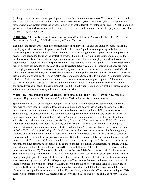(prolonged spontaneous activity upon depolarization) of the cultured motoneurons. We also performed a detailed electrophysiological characterization of DRG cells in our defined system. In summary, during this project we have created a test system where the effect of drugs on axonal outgrowth of motoneurons and DRG cells plated on growth inhibitory surfaces can be studied in an effective way. Results obtained during this project were used for an NIH R21 grant application.

**SCIRF 0903**--**Theraputic Use of Minocycline for Spinal Cord Injury**--Narayan R. Bhat, PhD., Professsor, Department of Neurology, Medical University of South Carolina

The aim of the project was to test the beneficial effect of minocylcine, an anti-inflammatory agent, in a spinal cord injury model. Soon after the project was funded. there were 2 publications appearing in the literature documenting such an effect in two different mo! dels of SCI including the one proposed in our pilot project. T! herefore, we decided to focus on the protective effect of the drug directly on spinal neurons to determine the mechanisms involved. Since ischemic injury combined with excitotoxicity may play a significant role in the degeneration of motor neurons after spinal cord injury, we used this injury paradigm in an in vitro model. Motor neuron cultures subjected to oxygen and glucose deprivation (OGD) can mimic ischemia and hence are useful for studying molecular determinants of neuronal injury and protection. For our studies, we employed NSC34, a spinal motor neuron cell line, and investigated the effect of minocycline on OGD-induced cell death. We found that minocycline as well as NBQX, an AMPA receptor antagonist, were able to suppress OGD-induced neuronal cell death. Both these compounds also inhibited OGD-induced activation of pro-apoptotic ! f9 kinases, i.e., p38 MAPK and JNK. That p38 MAPK, in particular, mediates hypoxia-induced motor neuron cell death was confirmed by using a specific kinase inhibitor (SB203580) and by transfection of cells with p38 kinase-specific siRNA, both treatments showing substantial neuroprotection.

**SCIRF 1103**--**Anti-inflammatory Approaches for Spinal Cord Injury**--Ernest Barbosa, MD, Associate Professor, Departments of Neurology and Pediatrics, Medical University of South Carolina

Spinal cord injury is a devastating and complex clinical condition which produces a predictable pattern of progressive injury entailing neuronal loss, axonal destruction and demyelination at the site of impact. The involvement of pro-inflammatory cytokines and inducible nitric oxide synthase (iNOS) in exacerbation of SCI pathology is well documented. We have previously reported the anti-inflammatory properties as well as immunomodulatory activities of statins (HMG-CoA reductase inhibitors) in the animal model of multiple sclerosis i.e. experimental allergic encephalitis (EAE) (Nath et al. 2004; Stanislaus et al. 1999). The present study was undertaken to investigate the efficacy of atorvastatin (Lipitor; LP) treatment in attenuating SCIinduced pathology. Immunohistochemical detection and real time PCR analysis showed increased expression of iNOS, TNF $\alpha$  and IL-1 $\beta$  following SCI. In addition neuronal apoptosis was detected 24 h following injury followed by a profound increase in ED1 positive inflammatory infiltrates, GFAP positive reactive astrocytes and oligodendrocyte apoptosis by one week following SCI relative to control. LP treatment attenuated the SCIinduced iNOS, TNF $\alpha$  and IL-1 $\beta$  expression. LP also provided protection against SCI-induced tissue necrosis, neuronal and oligodendrocyte apoptosis, demyelination and reactive gliosis. Furthermore, rats treated with LP showed a profoundly better neurological score (BBB score) following SCI (19.13±0.53) as compared to the untreated rats (9.04±1.22). Therefore, this study reports the beneficial effect of atorvastatin for the treatment of SCI-related pathology and disability. This study investigates whether statins when given ʻpost-trauma' can act rapidly enough to provide neuroprotection in spinal cord injury (SCI) and delineates the mechanism of action. Atorvastatin was given hours (2, 4 or 6 h) post-injury. AT-treated rats demonstrated near-normal recovery of locomotor function 3 weeks post-injury with BBB scores in the range of 17-18 (on a scale of 0-paralyzed to 21-normal). However, placebo (VHC)-treated animals averaged at 7 and did not progress beyond this stage. Neuroprotection by AT was evident even 48 h to 72 h post-injury wherein the AT-treated rats had higher BBB scores when compared to the VHC-treated ones. AT prevented SCI-induced blood-spinal cord barrier (BSCB)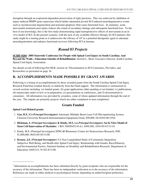disruption through an isoprenoid-dependent preservation of tight junctions. This was achieved by inhibition of injury-induced MMP9 gene expression which further attenuated pivotal SCI-induced neurodegenerative events such as myelin/axonal degeneration and neuronal apoptosis (that cause functional loss). In summary, acute atorvastatin treatment post-injury reduces the extent of secondary damage and subsequent functional loss. To the best of our knowledge, this is the first study demonstrating rapid neuroprotective effects of atorvastatin in an in vivo model of SCI. In the present scenario, with the lack of any available effective therapy for SCI-patients, this study might be a turning point as it underscores the efficacy of AT as a potential therapeutic agent to attenuate neurodegeneration and enhance functional recovery following SCI in humans.

#### *Round 03 Projects*

**SCIRF 0204**--**2005 Statewide Conference for People with Spinal Cord Injury in South Carolina; And Beyond the Walls—Education Outside of Rehabilitation**--Kermit L. Short, Executive Director, South Carolina Spinal Cord Injury Association

See details at end of following Part III.B, section on "Dissemination to SCI Consumers, Providers, and Researchers as presented on page 34.

#### **B. ACCOMPLISHMENTS MADE POSSIBLE BY GRANT AWARDS**

Following is a listing of accomplishments by those awarded grants from the South Carolina Spinal Cord Injury Research Fund that resulted directly or indirectly from the Fund support. The information is summarized in several sections including: (a) funded grants, (b) grant applications either pending or not funded, (c) publications, (d) manuscripts under review or in preparation, (e) presentations at conferences, and (f) dissemination to consumers. All information was provided by awardees, some of whom updated information through the end of the year. The outputs are primarily projects which are either completed or near completion<sup>1</sup>.

#### **Grants Funded**

#### **Spinal Cord Related grants**

\_\_\_\_\_\_\_\_\_\_\_\_\_\_\_\_

- 1. **Gao, B.Z.** *(Co-Principal Investigator)* Automatic Multiple Beam Laser Cell Micropatterning System, Clemson University Research Instrumentation Equipment Grant, \$50,000, 04/16/04-08/15/04.
- 2. **Hickman, J.** *(Principal Investigator)* **& Kindy, M.S.** *(co-Principal Investigator)* **An In Vitro Model of Stem Cell Innervation of Myotubes** 1 R01 NS050452-01A1, \$499,580, 10/01/05-07/31/10.
- 3. Kindy, M.S. (Principal Investigator) EPSCoR Rhenomics Center for Neuroscience Research, NSF, \$1,000,000, 06/01/05-05/31/08.
- 4. **Krause, J.S.** *(Principal Investigator)* A 6-Year Longitudinal Study of Community Integration, Subjective Well-Being, and Health after Spinal Cord Injury: Relationship with Gender, Race/Ethnicity, and Environmental Factors, National Institute on Disability and Rehabilitation Research, Department of Education; \$449,515, 9/1/02-8/31/06

<sup>&</sup>lt;sup>1</sup> Information on accomplishments has been submitted directly by grant recipients who are responsible for the accuracy of the information. There has been no independent verification as to the accuracy of the information. References are made in either medical or psychological format, depending on author/recipient preference.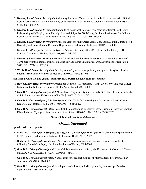- 5. **Krause, J.S.** *(Principal Investigator)* Mortality Rates and Causes of Death in the First Decade After Spinal Cord Injury Onset: A Comparative Study of Veterans and Non-Veterans, Veteran's Administration (VISN-7), \$116,000, 7/03-7/05.
- 6. **Krause, J.S.** *(Principal Investigator)* Stability of Vocational Interests Two Years after Spinal Cord Injury: Relationship with Employment, Participation, and Subjective Well-Being, National Institute on Disability and Rehabilitation Research, Department of Education; \$444,209, 10/01/03-9/30/06.
- 7. **Krause, J.S.** *(Principal Investigator)* Risk for Early Mortality After Spinal Cord Injury, National Institute on Disability and Rehabilitation Research, Department of Education; \$449,944, 10/01/03- 9/30/06.
- 8. Krause, J.S. (Principal Investigator) Risk for Adverse Outcomes after SCI: A Longitudinal Study. R01, National Institutes of Health; \$2,098,101, 01/01/06-12/31/11.
- 9. **Krause, J.S.** *(Principal Investigator)* Risk for Adverse Health Events after SCI: A Longitudinal Study of 1,391 participants, National Institute on Disability and Rehabilitation Research, Department of Education, \$449,990, 12/01/05-11/30/08.
- 10. **Webb, K.** *(Principal Investigator)* Development of cyanoacrylate/polyethylene glycol diacrylate blends as internal tissue adhesives, Spartan Medical, \$100,000, 9/1/05-9/1/06.

#### **Non-Spinal Cord Related grants (Funds from SCSCIRF helped obtain these funds)**

- 11. **Ray, S.K.** *(Principal Investigator)* Proteolytic Control of Glioblastoma R01 (CA-91460), National Cancer Institute of the National Institutes of Health Award Period, 2003-2008.
- 12. **Gao, B.Z.** *(Principal Investigator)* A Novel Laser Diagnostic System for Early Detection of Cancer Cells, the Oak Ridge Associated Universities (ORAU), \$10,000, 06/04 – 11/05.
- 13. **Gao, B.Z.** *(Co-Investigator)* 3-D Test Systems: New Tools for Unlocking the Mysteries of Breast Cancer, Department of Defense, \$200,000, 01/01/2005 - 12/31/2009.
- 14. **Gao, B.Z.** *(Principal Investigator)* Laser Cell Micropatterning to Study Electrical Coupling between Cardiac Fibroblasts and Myocytes, American Heart Association, \$120,000, 07/01/2005 - 06/30/2007.

#### **Grants Submitted: Not funded/Pending**

#### *Grants Submitted*

#### **Spinal cord related grants**

- 1) **Banik, N.L.** *(Principal Investigator)* **& Ray, S.K.** *(Co-Principal Investigator)* Involvement of spinal cord in MPTP-induced parkinsonism, National Institutes of Health, 2005-2007.
- 2) **Barbosa, E.** *(Principal Investigator)* Atorvastatin enhances Neuronal Regeneration and Remyelination following Spinal Cord Injury. National Institutes of Health, 2005-2009.
- 3) **Gao, B.Z.** *(Principal Investigator)* Laser Cell Micropatterning to Study the Formation of a Neuronal Circuit on MEA, NSF-CAREER, \$459,943, 02/01/06 - 01/31/11.
- 4) **Gao, B.Z.** *(Principal Investigator)* Nanosensors for Feedback Control of Micropatterned Neuromuscular Junctions, NSF-NER, \$160,000.
- 5) **Gao, B.Z.** *(Principal Investigator)* Development of a Laser Cell Micropatterning Microscope Based on Optical Force, NSF-MIR, \$321,497.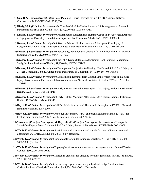- 6) **Gao, B.Z.** *(Principal Investigator)* Laser Patterned Hybrid Interface for in vitro 3D Neuronal Network Construction, DoD-SCEPSCoR, \$750,000.
- 7) **Kindy, M.S.** *(Principal Investigator)* In Vitro Model of the Reflex Arc for ALS, Bioengineering Research Partnership at NIBIB and NINDS, NIH, \$250,000/year, 7/1/06 6/30/11.
- 8) **Krause, J.S.** *(Principal Investigator)* Rehabilitation Research and Training Center on Psychological Aspects of Aging with a Disability, United States Department of Educaiton, \$3,612,163, 10/1/03-09/30/08.
- 9) **Krause, J.S.** *(Principal Investigator)* Risk for Adverse Health Outcomes After Spinal Cord Injury: A Longitudinal Study of 1,391 Participants, United States Dept. of Education, \$308,217, 8/1/04-7/31/09.
- 10) **Krause, J.S.** *(Principal Investigator)* Personality, Behavior, and Coping After Spinal Cord Injury, National Institutes of Health, \$1,250,000, 8/1/04-7/31/09.
- 11) **Krause, J.S.** *(Principal Investigator)* Risk of Adverse Outcomes After Spinal Cord Injury: A Longitudinal Study, National Institutes of Health, \$1,900,484, 1/1/05-12/31/09.
- 12) **Krause, J.S.** *(Principal Investigator)* Participation, Subjective Well-being, Health, and Spinal Cord Injury: A 33-year Longitudinal Study, United States Department of Education, \$449,989, 10/1/05-9/30/08.
- 13) **Krause, J.S.** *(Principal Investigator)* Disparities in Earnings form Gainful Employment After Spinal Cord Injury: Environmental Factors and Job Accommodations, National Institutes of Health, \$2,967,312, 1/1/06- 12/31/10.
- 14) **Krause, J.S.** *(Principal Investigator)* Early Risk for Mortality After Spinal Cord Injury, National Institutes of Health, \$2,967,312, 1/1/06-12/31/10.
- 15) **Krause, J.S.** *(Principal Investigator)* Early Risk for Mortality After Spinal Cord Injury, National Institute of Health, \$2,666,994, 10/1/06-9/30/11.
- 16) **Ray, S.K.** *(Principal Investigator)* Cell Death Mechanisms and Therapeutic Strategies in SCI R21, National Institutes of Health, 2005-2007.
- 17) **Ray, S.K.** *(Principal Investigator)* Photodynamic therapy (PDT) and paclitaxel nanotechnology (PNT) for treating brain tumor, NASA EPSCoR Partnership Program 2005-2006.
- 18) **Varma, A***. (Principal Investigator)* **& Ray, S.K.** *(Co-Principal Investigator)* Melatonin as a Therapy for Spinal Cord Injury, South Carolina Spinal Cord Injury Research Foundation (SCIRF-0905), 2006-2008.
- 19) **Webb, K.** *(Principal Investigator)* Scaffold-derived spatio-temporal signals for stem cell recruitment and differentiation, DARPA, \$1,425,000, 2005-2007. (Declined)
- 20) **Webb, K.** *(Principal Investigator)* Biomaterials for guided neural regeneration, NIH COBRE. \$400,000, 2006-2008. (Declined)
- 21) **Webb, K.** *(Principal Investigator)* Topographic fibers as templates for tissue regeneration, National Textile Council, \$300,000, 2005-2008.
- 22) **Webb, K.** *(Principal Investigator)* Molecular gradients for directing axonal regeneration, NIH R21 (NINDS), \$250,000, 2006-2007.
- 23) **Webb, K.** *(Principal Investigator)* Engineering regeneration through the distal bridge / host interface, Christopher Reeve Paralysis Foundation, \$148,324, 2004-2006. (Declined)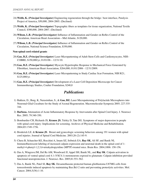- 24) **Webb, K.** *(Principal Investigator)* Engineering regeneration through the bridge / host interface, Paralysis Project of America, \$50,000, 2004-2005. (Declined)
- 25) **Webb, K.** *(Principal Investigator)* Topographic fibers as templates for tissue organization, National Textile Council, \$300,000, 2004-2007. (Declined)
- 26) **Wilson, L.B.** *(Principal Investigator)* Influence of Inflammation and Gender on Reflex Control of the Circulation, American Heart Association—Mid Atlantic, \$120,000.
- 27) **Wilson, L.B.** *(Principal Investigator)* Influence of Inflammation and Gender on Reflex Control of the Circulation, National Science Foundation, \$350,000.

#### **Non-spinal cord related grants**

- 28) **Gao, B.Z.** *(Principal Investigator)* Laser Micropatterning of Adult Stem Cells and Cardiomyocytes, NIH– COBRE, \$150,000/yr, 01/01/06 – 12/31/10.
- 29) **Gao, B.Z.** *(Principal Investigator)* Myocyte Hypertrophic Response to Mechanical Force Generated by Fibroblast, American Heart Association, \$264,000, 01/01/2006 - 12/31/2009.
- 30) **Goa, B.Z.** *(Principal Investigator)* Laser Micropatterning to Study Cardiac Scar Formation, NIH R21, \$125,000/yr.
- 31) **Gao, B.Z.** *(Principal Investigator)* Development of a Laser Cell Deposition Microscope for Cancer Immunotherapy Studies, Coulter Foundation, \$240,0

#### *Publications*

- 1) Bakken, D., Burg, K, Narasimhan, S., & **Gao, BZ.** Laser Micropatterning of Polylactide Microspheres into Neuronal-Glial Coculture for the Study of Axonal Regeneration. Macromolecular Symposia 2005; 227:335- 344.
- 2) **Barbosa.** Attenuation of Acute Inflammatory Response by Atorvastatin after Spinal Cord Injury. J. Neurosci Res. 2005; 79:340-350.
- 3) Bombardier CH, Richards JS, **Krause JS**, Tulsky D, Tate DG. Symptoms of major depression in people with spinal cord injury: Implications for screening. Archives of Physical Medicine and Rehabilitation. 2004;85:1749-1756.
- 4) Broderick LE. & **Krause JS**. Breast and gynecologic screening behaviors among 191 women with spinal cord injuries. Journal of Spinal Cord Medicine. 2003;26 (2):145-9.
- 5) Chera B, Schaecher KE, Rocchini A, Imam SZ, Sribnick EA, **Ray SK**, Ali SF, and Banik NL Immunofluorescent labeling of increased calpain expression and neuronal death in the spinal cord of 1 methyl-4-phenyl-1,2,3,6-tetrahydropyridine (MPTP)-treated mice. Brain Res. 2004;1006: 150-156.
- 6) Das A, Wingrave JM, Del Re AM, Woodward JJ, Appel SH, Banik NL, and **Ray SK**. Calpain activation in apoptosis of ventral spinal cord 4.1 (VSC4.1) motoneurons exposed to glutamate: Calpain inhibition provided functional neuroprotection. J. Neurosci. Res. 2005;81:551-562.
- 7) Das A, Banik NL, Patel SJ, **Ray SK**. Dexamethasone protected human glioblastoma U87MG cells from temozolomide induced apoptosis by maintaining Bax:Bcl-2 ratio and preventing proteolytic activities. Mol. Cancer. 2004;3(36):1-10.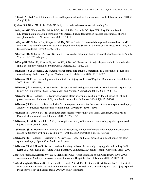- 8) Guo G & **Bhat NR.**. Glutamate release and hypoxia-induced motor neuron cell death. J. Neurochem. 2004;90 (Suppl 1):14.
- 9) Guo, G & **Bhat, NR.** Role of MAPK in hypoxia-induced motoneuron cell death. p.38
- 10) Guyton MK, Wingrave JM, Wilford GG, Sribnick EA, Matzelle DC, Tyor WR, **Ray SK**, and Banik NL. Upregulation of calpain correlated with increased neurodegeneration in acute experimental allergic encephalomyelitis. J. Neurosci. Res. 2005;81:53-61.
- 11) Guyton MK, Sribnick EA, Wingrave JM, **Ray SK**, & Banik NL. Axonal damage and neuron death in MS and EAE: The role of calpain. In: Waxman SG, ed. Multiple Sclerosis as a Neuronal Disease. New York, NY: Elsevier Academic Press; 2005:293-303.
- 12) Guyton MK, Sribnick EA, **Ray SK**, Banik NL. A role for calpain in Lewis rat model of optic neuritis. Ann. N. Y. Acad. Sci. 2005;(In press).
- 13) Kemp BJ, Kahan JS, **Krause JS**, Adkins RH, & Nava G. Treatment of major depression in individuals with spinal cord injury. Journal of Spinal Cord Medicine. 2004;27:22-28.
- 14) **Krause J S** & Broderick, LE. Outcomes after spinal cord injury: Comparisons as a function of gender and race ethnicity. Archives of Physical Medicine and Rehabilitation. 2004; 85:355-362.
- 15) **Krause JS**. Return to employment after spinal cord injury. Archives of Physical Medicine and Rehabilitation. 2003; 84(9):1282-1289.
- 16) **Krause JS**., Broderick, LE, & Broyles J. Subjective Well-Being Among African-Americans with Spinal Cord Injury: An Exploratory Study Between Men and Women. Neurorehabilitation. 2004; 19: 81-89.
- 17) **Krause JS**. & Broderick LE. Recurrent pressure ulcers after spinal cord injury: Identification of risk and protective factors. Archives of Physical Medicine and Rehabilitation. 2004;85(8):1257-1264.
- 18) **Krause JS**. Factors associated with risk for subsequent injuries after the onset of traumatic spinal cord injury. Archives of Physical Medicine and Rehabilitation. 2004;85(9): 1503 – 1508.
- 19) **Krause JS.**, DeVivo, MJ, & Jackson AB. Risk factors for mortality after spinal cord injury. Archives of Physical Medicine and Rehabilitation. 2004;85:1764-1773.
- 20) **Krause, JS.**, & Broderick LE. A 25-year longitudinal study of the natural course of aging after spinal cord injury. Spinal Cord, in press.
- 21) **Krause, JS**, & Broderick, LE. Relationship of personality and locus of control with employment outcomes among participants with spinal cord injury. Rehabilitation Counseling Bulletin, in press.
- 22) **Krause JS**., Broderick LE, Saladin L, & Broyles J. Gender and racial disparities in health outcomes after spinal cord injury. Spinal Cord Medicine, in press.
- 23) **Krause JS, & Adkins R**. Research and methodological issues in the study of aging with a disability. In B. Kemp & L. Mosqueda, eds. Aging with a Disability. Baltimore, MD: Johns Hopkins University Press; 2000
- 24) McCutcheon EP, **Selassie AW, Gu J, Pickelsimer E.E**. Acute Traumatic Spinal Cord Injury, 1993-2000: Assessment of Methylprednisolone administration and Hospitalization. J Trauma. 2004; 56:1076-1083
- 25) **Middaugh SJ, Thomas KJ,** Klingmueller J, Smith AR, McFall TL, Gilbert SP, & Bailey JA. Treatment of Musculoskeletal Pain in the Neck and Shoulder in Manual Wheelchair Users with Spinal Cord Injury. Applied Psychophysiology and Biofeedback. 2004;29(4):294 (abstract).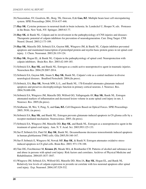- 26) Narasimhan, SV, Goodwin, RL, Borg, TK, Dawson, D,& **Gao, BZ**. Multiple beam laser cell micropattering system. SPIE Proceedings 2004; 5514:437-446.
- 27) **Ray SK**. Cysteine proteases in neuronal death in brain ischemia. In: Lendeckel U, Hooper N, eds. Proteases in the Brain. New York, NY: Springer; 2005:63-77.
- 28) **Ray SK**, & Banik NL. Calpain and its involvement in the pathophysiology of CNS injuries and diseases: Therapeutic potential of calpain inhibitors for prevention of neurodegeneration. Curr. Drug Target. CNS Neurol. Disord. 2003;2:173-189.
- 29) **Ray SK**, Matzelle DD, Sribnick EA, Guyton MK, Wingrave JM, & Banik NL. Calpain inhibitor prevented apoptosis and maintained transcription of proteolipid protein and myelin basic protein genes in rat spinal cord injury. J. Chem. Neuroanat. 2003;26:119-124.
- 30) **Ray SK**, Hogan EL, & Banik NL. Calpain in the pathophysiology of spinal cord: Neuroprotection with calpain inhibitors. Brain Res. Rev. 2003;42:169-185.
- 31) Sribnick EA, **Ray SK**, and Banik NL. Estrogen as a multi-active neuroprotective agent in traumatic injuries. Neurochem Res. 2004;29:2007-2014.
- 32) Sribnick EA, Guyton MK, Imam S, **Ray SK**, Banik NL. Calpain's role as a central mediator in diverse neurological diseases. Bradford Festschrift. 2004;(In press).
- 33) Sribnick, EA, **Ray SK**, Nowak MW, Li L, and Banik NL. 17ß-Estradiol attenuates glutamate-induced apoptosis and preserves electrophysiologic function in primary cortical neurons. J. Neurosci. Res. 2004;76:688-696.
- 34) Sribnick EA, Wingrave JM, Matzelle DD, Wilford GG, Yallapragada AV, **Ray SK**, Banik NL. Estrogen attenuated markers of inflammation and decreased lesion volume in acute spinal cord injury in rats. J. Neurosci. Res. 2005;(In press).
- 35) Sridharan, M, Wei, Y, Peng, X, and **Gao, BZ.** Cell Diagnosis Based on Optical Forces. SPIE Proceedings 2005; 5930, (in press).
- 36) Sribnick EA, **Ray SK**, and Banik NL. Estrogen prevents glutamate-induced apoptosis in C6 glioma cells by a receptor-mediated mechanism. Neuroscience. 2005; (In press).
- 37) Sribnick EA, Wingrave JM, Matzelle DD, **Ray SK**, and Banik NL. Estrogen as a neuroprotective agent in the treatment of spinal cord injury. Ann. N. Y. Acad. Sci. 2003;993:125-133.
- 38) Sur P, Sribnick EA, Patel SJ, **Ray SK**, Banik NL. Dexamethasone decreases temozolomide induced apoptosis in human glioblastoma T98G cells. Glia 2005;50:160-167.
- 39) Sur P, Sribnick E, Wingrave M, Nowak MF, **Ray SK**, & Banik N. Estrogen attenuates oxidative stressinduced apoptosis in C6 glial cells. Brain Res. 2003; 971:178-188.
- 40) Tate DG, Forchheimer M, **Krause JS**, Meade MA, & Bombardier CH. Patterns of alcohol and substance use and abuse in persons with spinal cord injury: Risk factors and correlates. Archives of Physical Medicine and Rehabilitation. 2004;85:1837-1847.
- 41) Wingrave JM, Sribnick EA, Wilford GG, Matzelle DD, Mou JA, **Ray SK**, Hogan EL, and Banik NL Relatively low levels of calpain expression in juvenile rat correlate with less neuronal apoptosis after spinal cord injury. Exp. Neuronol. 2004;187:529-532.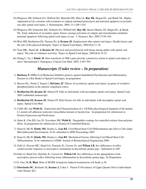- 42) Wingrave JM, Sribnick EA, Wilford GG, Matzelle DD, Mou JA, **Ray SK**, Hogan EL, and Banik NL. Higher calpastatin levels correlate with resistance to calpain-mediated proteolysis and neuronal apoptosis in juvenile rats after spinal cord injury. J. Neurotrauma. 2004; 21:1240-1254.
- 43) Wingrave JM, Schaecher KE, Sribnick EA, Wilford GG, **Ray SK**, Hazen-Martin, DJ, Hogan EL, & Banik NL. Early induction of secondary injury factors causing activation of calpain and mitochondria-mediated neuronal apoptosis following spinal cord injury in rats. J. Neurosci. Res. 2003;73:95-104.
- 44) Wise HH, Brotherton SS, Thomas KJ, & **Krause JS**. Employment after spinal cord injury: Health factors and the role of the physical therapist. Topics in Spinal Cord Injury. 2004;9(4):11-18.
- 45) Yeun HK., Burik JK. & **Krause JS**. Physical and psychosocial well-being among adults with spinal cord injury: The role of volunteer activities. Topics in Spinal Cord Injury. 2004;9(4):19-25.
- 46) Zhang L, Yu, J, **Kindy M**. Does knockout of JNK3 gene provide a protective action in spinal cord injury of mice? International J. Emergency Critical Care Med. 2005; 2:497-503.

#### *Manuscripts (Under review – In preparation)*

- 1) **Barbosa, E.** HMG-CoA Reductase Inhibitor protects against Endothelial Dysfunction and Inflammatory Disease in a Rat Model of Spinal Cord Injury. In preparation.
- 2) Brewer KL, Nolan T, Saurin J, **McGinty JF**. Effects of excitotoxic spinal cord injury on genes of oxidative phosphorylation in the anterior cingulated cortex.
- 3) **Brotherton SS, Krause JS**, Nietert PJ. Falls in individuals with incomplete spinal cord injury. Spinal Cord. 2005 (submitted manuscript)
- 4) **Brotherton SS, Krause JS**, Nietert PJ. Risk Factors for falls in individuals with incomplete spinal cord injury. Spinal Cord Med.
- 5) Cribb, RC and **Webb K.** Expression and Characterization of a 140 KDa physiological fragment of the human L1 neural cell adhesion molecule extracellular domain in baculovirus. In preparation for submission to Protein Expression and Purification.
- 6) Datar K, Cho EH, Lee JS, Vyavahare NR, **Webb K**. Degradable coatings for controlled release from polymer fibers. In preparation for submission to Journal of Controlled Release.
- 7) Dean D, Ma W, **Kindy MS**, Dooley L, **Gao BZ**. Cord Blood Stem Cell Differentiation into Nerve Cells under Microfabricated Environment. To be submitted to SPIE Proceedings 2005
- 8) Dean D, Ma W, **Kindy MS**, Dooley L, **Gao BZ**. Mechanical Factors Affecting Cord Blood Stem Cell Differentiation. To be submitted to ASME: Journal of Biomechanical Engineering 2006.
- 9) Fulk LJ, Stewart MC, Hand GA, Durstine JL, Carson JA, and **Wilson LB.** Sex differences in reflex cardiovascular responses to nociceptive stimulation in decerebrate guinea pigs. Submitted to AJP.
- 10) Fulk LJ, Hand GA, Durstine JL, Carson JA, **Wilson LB**. Sex differences in the upregulation of the nociceptive pressor reflex following tissue inflammation in decerebrate guinea pigs. In Preparation.
- 11) G. Guo, **N. R. Bhat**. Role of MAPK in hypoxia-induced motoneuron cell death. p.38.
- 12) **Morrisette DC**, Richards JS, **Krause J**, Coker J. Nietert P. Prevalence of Upper Quarter Pain in Individuals with Chronic SCI.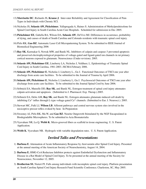- 13) **Morrisette DC**, Richards JS, **Krause J**. Inter-rater Reliability and Agreement for Classification of Pain Types in Individuals with Chronic SCI.
- 14) Nicholas JS, **Selassie AW, Pickelsimer**, Yallapragada A, Haines S. Administration of Methylprednisolone for Spinal Cord Injury in South Carolina Acute Care Hospitals. Scheduled for submission in Dec 2005.
- 15) **Pickelsimer EE**, Gabella BA, Wilson DA, **Selassie AW**, DeVivo MJ. Differences in occurrence, probability of dying, and causes of death of South Carolina and Colorado residents with traumatic spinal cord injury.
- 16) Pirlo RK, **Gao BZ**. Automatic Laser Cell Micropatterning System. To be submitted to IEEE Journal of Biomedical Engineering 2006
- 17) **Ray SK**, Karmakar S, Nowak MW, and Banik NL. Inhibitors of calpain and caspase-3 prevented apoptosis and preserved electrophysiological properties of voltage-gated and ligand-gated ion channels in rat primary cortical neurons exposed to glutamate. Neuroscience (Under revision). 2005.
- 18) **Selassie AW, Pickelsimer EE**, Lineberry LA, Nicholas J, Veldheer, L. Epidemiology of Traumatic Spinal Cord Injury in South Carolina, 1981-2003. JSCMA February 2006.
- 19) **Selassie AW, Pickelsimer E**, Nicholas J, Lineberry L., Gu J. Functional Outcomes of TSCI one year after discharge from acute care facilities. To be submitted to the Journal of Trauma by April 2006.
- 20) **Selassie AW, Pickelsimer E**, Nicholas J, Lineberry L, Gu J. Psychosocial Outcomes of TSCI one year after discharge from acute care facilities. To be submitted to the Journal Spinal Cord by June 2006.
- 21) Sribnick EA, Matzelle DD, **Ray SK**, and Banik NL. Estrogen treatment of spinal cord injury attenuates calpain activation and apoptosis. (Submitted to J. Pharmacol. Exp. Therap.).2005.
- 22) Sribnick EA, Delre AM, **Ray SK**, and Banik NL. Estrogen attenuates glutamate-induced cell death by inhibiting  $Ca^{2+}$  influx through L-type voltage-gated  $Ca^{2+}$  channels. (Submitted to Eur. J. Neurosci.). 2005.
- 23) Stewart MC, Fulk LJ, **Wilson LB**. Afferent pathways and central nervous system sites involved in the nociceptive pressor reflex evoked by heat. In Preparation
- 24) Sweeney AJ, Pirlo RK, Ma W, and **Gao BZ**. Neurite Outgrowth Stimulated by the NGF Encapsulated in Biodegradable Microspheres. To be submitted to Acta Biomaterialia
- 25) Vyavahare NR, Lu Q, **Webb K**. Micro-grooved fibers as scaffold in tissue engineering. U. S. Patent Application.
- 26) **Webb K**, Vyavahare NR. Hydrogels with variable degradation rates. U. S. Patent Application.

#### *Invited Talks and Presentations*

- 1) **Barbosa E**. Attenuation of Acute Inflammatory Response by Atorvastatin after Spinal Cord Injury. Presented at the annual meeting of the American Society of Neurochemistry, August 14, 2004.
- 2) **Barbosa E.** HMG-CoA Reductase Inhibitor protects against Endothelial Dysfunction and Inflammatory Disease in a Rat Model of Spinal Cord Injury. To be presented at the annual meeting of the Society for Neuroscience, November 12, 2005.
- 3) **Brotherton SS**, Nietert PJ. Falls among individuals with incomplete spinal cord injury. Platform presentation at: South Carolina Spinal Cord Injury Research Fund Scientific Conference; Charleston, SC, May 2005.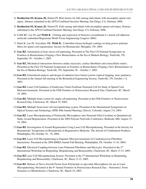- 4) **Brotherton SS, Krause JS,** Nietert PJ. Risk factors for falls among individuals with incomplete spinal cord injury. Abstract submitted to the APTA Combined Sections Meeting; San Diego, CA, February 2006.
- 5) **Brotherton SS, Krause JS**, Nietert PJ. Falls among individuals with incomplete spinal cord injury Abstract submitted to the APTA Combined Sections Meeting; San Diego, CA, February 2006.
- 6) Cribb RC, Lee JS, and **Webb K**. Cloning and expression of bioactive recombinant L1 neural cell adhesion molecule (submitted Regenerate World Tissue Engineering Congress 2006).
- 7) Datar K, Lee JS, Vyavahare NR, **Webb K.** Controlled release hydrogel coatings on deep groove polymer fibers for spinal cord regeneration. Society for Biomaterials; Memphis, TN, 2005.
- 8) **Gao BZ**. Automation of laser micro cell patterning. Presented at The First US National Symposium on Frontiers in Biomechanics Forging a New Biomechanics in the Era of Modern Biology; Nashville, TN, September 30 – October 1, 2003.
- 9) **Gao BZ.** Mechanical interactions between cardiac myocytes, cardiac fibroblasts and extracellular matrix. Presented at the First US National Symposium on Frontiers in Biomechanics Forging a New Biomechanics in the Era of Modern Biology; Nashville, TN, September 30 – October 1, 2003.
- 10) **Gao BZ.** Generalized analysis and design of radiation force-based systems (optical trapping, laser guidance). Presented at the Annual fall meeting of the Biomedical Engineering Society; Nashville, TN, October 1-4, 2003.
- 11) **Gao BZ.** Laser Cell Guidance of Embryonic Chick Forebrain Neuronal Cell for Study of Spinal Cord Microenvironments. Presented at the Fifth Frontiers in Neuroscience Research Day, Charleston, SC; March 19, 2004.
- 12) **Gao BZ.** Multiple beam system for single cell patterning. Presented at the Fifth Frontiers in Neuroscience Research Day; Charleston, SC, March 19, 2004.
- 13) **Gao BZ.** Multiple beam laser cell micropatterning system. Presented at the International Symposium on Optical Science and Technology (SPIE 49th Annual Meeting); Denver, Colorado, August 2-6, 2004.
- 14) **Gao BZ**. Laser Micropatterning of Polylactide Microspheres into Neuronal-Glial Coculture to Quantitatively Study Axonal Regeneration. Presented at the 2004 Polymer Networks Conference; Bethesda, MD, August 15- 19, 2004.
- 15) **Gao BZ.** Investigation of Axonal Regeneration Using Laser Cell Micropatterning. Presented at the Society for Biomaterials' Symposium on Biomaterials in Regenerative Medicine: The Advent of Combination Products; Philadelphia, PA, October 16 - 18, 2004.
- 16) **Gao BZ.** Laser Cell Micropatterning to Engineer Microenvironments for Cardiomyocyte-Fibroblast Interactions. Presented at the 2004 BMES Annual Fall Meeting; Philadelphia, PA, October 13-16, 2004.
- 17) **Gao BZ.** Electrical Coupling between Laser Patterned Fibroblasts and Myocytes. Presented at the 2nd International Workshop on Bioprinting, Biopatterning and Bioassembly; Charleston, SC, Mach 13-15, 2005.
- 18) **Gao BZ** Laser Cell Micropatterning System. Presented at the 2nd International Workshop on Bioprinting, Biopatterning and Bioassembly; Charleston, SC, Mach 13-15, 2005.
- 19) **Gao BZ**. Release of Nerve Growth Factor from Polylactide-co-glycolide Microspheres for use in Laser Micropatterning. Presented at the  $6<sup>th</sup>$  Annual Frontiers in Neuroscience Research Day – Neuromics: From Genomics to Metabolomics; Charleston, SC, March 18, 2005.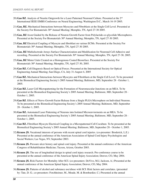- 20) **Gao BZ**. Analysis of Neurite Outgrowth for a Laser Patterned Neuronal Culture. Presented at the 2nd International IEEE EMBS Conference on Neural Engineering; Washington D.C., March 16-19 2005.
- 21) **Gao, BZ.** Mechanical Interactions between Myocytes and Fibroblasts at the Single Cell Level. Presented at the Society For Biomaterials 30<sup>th</sup> Annual Meeting; Memphis, TN, April 27-30 2005.
- 22) **Gao, BZ** Axon Guided by the Release of Neuron Growth Factor from Polylactide-co-glycolide Microspheres. Presented at the Society For Biomaterials 30<sup>th</sup> Annual Meeting; Memphis, TN, April 27-30 2005.
- 23) **Gao, BZ** Electrical Coupling of Myocyte and fibroblast on various ECMs. Presented at the Society For Biomaterials 30<sup>th</sup> Annual Meeting; Memphis, TN, April 27-30 2005.
- 24) **Gao, BZ** Multielectrode Arrays Surface Characterization and Modification for Neuronal Cell Adhesive and recording. Presented at the Society For Biomaterials 30<sup>th</sup> Annual Meeting; Memphis, TN, April 27-30, 2005.
- 25) **Gao, BZ** Motor Units Created on a Homogenous Coated Biosurface. Presented at the Society For Biomaterials 30<sup>th</sup> Annual Meeting; Memphis, TN, April 27-30, 2005.
- 26) **Gao BZ.** Cell Diagnosis Based on Optical Forces. Presented at the International Society for Optical Engineering Annual Meeting; San Diego, CA, July 31-August 4, 2005
- 27) **Gao BZ.** Mechanical Interactions between Myocytes and Fibroblasts at the Single Cell Level. To be presented at the Biomedical Engineering Society's 2005 Annual Meeting; Baltimore, MD, September 28 - October 1, 2005.
- 28) **Gao BZ.** Laser Cell Micropatterning for the Formation of Neuromuscular Junctions on an MEA. To be presented at the Biomedical Engineering Society's 2005 Annual Meeting; Baltimore, MD, September 28 - October 1, 2005.
- 29) **Gao BZ**. Effects of Nerve Growth Factor Release from a Single PLGA Microsphere on Individual Neurons. To be presented at the Biomedical Engineering Society's 2005 Annual Meeting; Baltimore, MD, September 28 - October 1, 2005.
- 30) **Gao BZ.** Automated Laser Patterning of Neurons into Isolated Microenviorments on an MEA. To be presented at the Biomedical Engineering Society's 2005 Annual Meeting; Baltimore, MD, September 28 - October 1, 2005.
- 31) **Gao BZ.** Fibroblast-Myocyte Electrical Coupling in a Micropatterned Cell Coculture. To be presented at the Biomedical Engineering Society's 2005 Annual Meeting; Baltimore, MD, September 28 - October 1, 2005.
- 32) **Krause JS.** Vocational interests of persons with recent spinal cord injuries. (co-presenter: Broderick, L.E.) Presented at the annual conference of the American Association of Spinal Cord Injury Psychologists and Social Workers; Las Vegas, NV, September 2003.
- 33) **Krause JS.** Pressure ulcer history and spinal cord injury. Presented at the annual conference of the American Congress of Rehabilitation Medicine; Tucson, Arizon, October 2003.
- 34) **Krause JS.** The use of longitudinal design in spinal cord injury research. Pre-conference course to be presented at the annual conference of the American Spinal Injury Association; Denver, CO, May 2004.
- 35) **Krause JS.** Risk Factors for Mortality After SCI. (co-presenters: DeVivo, M.J, Jackson, A.) Presented at the annual conference of the American Spinal Injury Association; Denver, CO, May 2004.
- 36) **Krause JS.** Patterns of alcohol and substance use/abuse with SCI: Risk factors and correlates. (presented by: Tate, D. G.; co-presenters: Forchheimer, M., Meade, M. & Bombardier, C.) Presented at the annual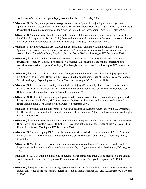conference of the American Spinal Injury Association; Denver, CO, May 2004.

- 37) **Krause JS**. The frequency, phenomenology and correlates of probable major depression one year after spinal cord injury. (presented by: Bombardier, C. H.; co-presenters: Richard, J. S., S., Tulsky, D., Tate, D. G.) Presented at the annual conference of the American Spinal Injury Association; Denver, CO, May 2004.
- 38) **Krause JS**. Maintenance of healthy affect and avoidance of depression after spinal cord injury. (presented by: Coker, J.; co-presenter: Broderick, L.) Presented at the annual conference of the American Association of Spinal Cord Injury Psychologists and Social Workers; Las Vegas, NV, September 2004.
- 39) **Krause JS.** Preinjury Alcohol Use, Intoxication at Injury, and Personality Among Persons With SCI. (presented by: Coker, J.; co-presenter: Broderick, L.) Presented at the annual conference of the American Association of Spinal Cord Injury Psychologists and Social Workers; Las Vegas, NV, September 2004.
- 40) **Krause JS.** Spiritual Coping: Differences between Caucasians and African Americans with spinal cord injuries. (presented by: Coker, J.; co-presenter: Broderick, L.) Presented at the annual conference of the American Association of Spinal Cord Injury Psychologists and Social Workers; Las Vegas, NV, September 2004.
- 41) **Krause JS.** Factors associated with earnings from gainful employment after spinal cord injury. (presented by: Coker, J.; co-presenter: Broderick, L.) Presented at the annual conference of the American Association of Spinal Cord Injury Psychologists and Social Workers; Las Vegas, NV, September 2004.
- 42) **Krause JS.** Risk factors for mortality after spinal cord injury. (Presented by: Pickelsimer, E.; co-presenters: DeVivo, M., Jackson, A., Broderick, L.) Presented at the annual conference of the American Congress of Rehabilitation Medicine; Ponte Vedre Beach, FL, September 2004.
- 43) **Krause JS.** Health Status, community integration and economic risk factors for mortality after spinal cord injury. (presented by: DeVivo, M. J.; co-presenter: Jackson, A.) Presented at the annual conference of the International Spinal Cord Society; Athens, Greece, September 2004.
- 44) **Krause JS.** Spiritual coping: Differences between Caucasians and African Americans with SCI. (Presented by: Broderick, L). Presented at the annual conference of the American Public Health Association; Washington, DC, November 2004.
- 45) **Krause JS.** Maintenance of healthy affect and avoidance of depression after spinal cord injury. (Presented by: Broderick, L; co-presenters: Kemp, B, Coker, J). Presented at the annual conference of the American Public Health Association; Washington, DC, November 2004.
- 46) **Krause JS.** Spiritual coping: Differences between Caucasians and African Americans with SCI. (Presented by: Broderick, L). Presented at the annual conference of the American Spinal Injury Association; Dallas, TX, May 2005.
- 47) **Krause JS.** Vocational Interests among participants with spinal cord injury. (co-presenter Broderick, L.)To be presented at the annual conference of the American Psychological Association; Washington, DC, August 2005.
- 48) **Krause JS.** A 30-year longitudinal study of outcomes after spinal cord injury. To be presented at the annual conference of the American Congress of Rehabilitation Medicine; Chicago, IL, September 28-October 1, 2005.
- 49) **Krause JS.** Depressive symptoms during inpatient rehabilitation for spinal cord injury. To be presented at the annual conference of the American Congress of Rehabilitation Medicine; Chicago, IL, September 28-October 1, 2005.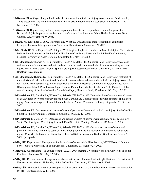- 50) **Krause JS.** A 30-year longitudinal study of outcomes after spinal cord injury. (co-presenter, Broderick, L.) To be presented at the annual conference of the American Public Health Association; New Orleans, LA, November 5-9, 2005.
- 51) **Krause JS.** Depressive symptoms during inpatient rehabilitation for spinal cord injury. (co-presenter, Broderick, L.) To be presented at the annual conference of the American Public Health Association; New Orleans, LA, November 5-9, 2005.
- 52) Kutty JK, Reifsnider C, Lu Q, Vyavahare NR, **Webb K.** Synthesis and characterization of composite hydrogels for vocal fold applications. Society for Biomaterials; Memphis, TN, 2005.
- 53) **McGinty JF.** Gene Expression Profiling of CNS Regions Implicated in a Mouse Model of Spinal Cord Injury-Induced Pain. Presented at the South Carolina Spinal Cord Injury Research Fund Scientific Conference, Medical University of South Carolina; Charleston SC, May 13<sup>th</sup>, 2005,
- 54) **Middaugh SJ**. Thomas KJ, Klingmueller J, Smith AR, McFall TL, Gilbert SP, and Bailey JA. Assessment and treatment of musculoskeletal pain in the nect and shoulder in manual wheelchair users with spinal cord injury. First Annual South Carolina Spinal Cord Injury Research Conference; Charleston, SC, May, 2005 (Platform Presentation).
- 55) **Middaugh SJ, Thomas KJ,** Klingmueller J, Smith AR, McFall TL, Gilbert SP, and Bailey JA. Treatment of musculoskeletal pain in the neck and shoulder in manual wheelchair users with spinal cord injury. Association for Applied Psychophysiology and Biofeedback 35th Annual Meeting; Colorado Springs, Colorado, 2004 (Poster presentation). Prevalence of Upper Quarter Pain in Individuals with Chronic SCI. Presented at the annual meeting of the South Carolina Spinal Cord Injury Research Fund; Charleston, SC., May 13, 2005
- 56) **Pickelsimer EE,** Gabella BA, Wilson DA, **Selassie AW,** DeVivo MJ. Determination of occurrence and causes of death within five years of injury among South Carolina and Colorado residents with traumatic spinal cord injury. American Congress of Rehabilitation Medicine Annual Conference; Chicago, September 28-October 3, 2005.
- 57) **Pickelsimer EE.** Occurrence and causes of death of persons with traumatic spinal cord injury. South Carolina Spinal Cord Injury Annual Conference; Columbia, SC, May 12, 2005.
- 58) **Pickelsimer EE,** Wilson DA. Occurrence and causes of death of persons with traumatic spinal cord injury. South Carolina Spinal Cord Injury Research Fund Scientific Meeting; Charleston, SC, May 13, 2005.
- 59) **Pickelsimer EE,** Gabella BA, Wilson DA, **Selassie AW,** DeVivo MJ. Occurrence, causes of death, and probability of dying within five years of injury among South Carolina residents with traumatic spinal cord injury. 8<sup>th</sup> World Conference on Injury Prevention and Safety Promotion; Durban, South Africa, April 2-5, 2006. (accepted)
- 60) **Ray SK.** Experimental Therapeutics for Activation of Apoptosis in Glioblastoma, MCBP External Seminar Series, Medical University of South Carolina; Charleston, SC, October 23, 2003.
- 61) **Ray SK.** Glioblastoma an update from the AACR 2004 meeting', Neurology, Medical University of South Carolina; Charleston, SC, May 12, 2004.
- 62) **Ray SK.** Dexamethasone damages chemotherapeutic action of temozolomide in glioblastoma', Department of Neurosciences, Medical University of South Carolina; Charleston, SC, February 8, 2005.
- 63) **Ray, SK.** Therapeutic Effects of Estrogen in Spinal Cord Injury', SC Spinal Cord Injury Research Foundation (SCIRF) Conference; May 13, 2005.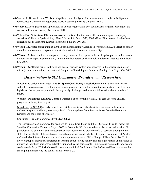- 64) Sinclair K, Brown PJ, and **Webb K.** Capillary channel polymer fibers as structural templates for ligament reconstruction. (submitted Regenerate World Tissue Engineering Congress 2006).
- 65) **Webb, K.** Deep groove fiber applications in axonal regeneration. 56th Southeastern Regional Meeting of the American Chemical Society; November 2004.
- 66) Wilson DA, **Pickelsimer EE, Selassie AW.** Mortality within five years after traumatic spinal cord injury. American College of Epidemiology; New Orleans, LA, Sept 17-20, 2005. (Note: This presentation has been cancelled due to Hurricane Katrina's destruction in New Orleans.)
- 67) **Wilson LB.** Poster presentation at 2004 Experimental Biology Meeting in Washington, D.C.: Effect of gender on reflex cardiovascular responses to heat stimulation in decerebrate Guinea Pigs.
- 68) **Wilson LB.** Role of spinal ionotropic excitatory amino acid receptors in the nociceptive pressor reflex evoked by noxious heat (poster presentation). International Congress of Physiological Sciences Meeting; San Diego, CA, 2005.
- 69) **Wilson LB.** Afferent neural pathways and central nervous system sites involved in the nociceptive pressor reflex (poster presentation). International Congress of Physiological Sciences Meeting; San Diego, CA, 2005.

#### *Dissemination to SCI Consumers, Providers, and Researchers*

- Website and periodic newsletter: The **SC Spinal Cord Injury Association** maintains a very informative web-site (www.scscia.org) that includes contact/program information about the Association as well as new legislation that may or may not help the physically challenged and resource information about spinal cord injury.
- Website: **Disabilities Resource Center**'s website is open to people with SCI to gain access to all DRC programs including this project.
- Newsletter: **SCSCIA** Quarterly news letter that the association publishes this news letter includes new updates on spinal cord injury research, a legal column, updates from the association from the Executive Director and the Board of Directors.
- Consumer Oriented Conferences by the **SCSCIA:**

 The First Statewide Conference for people with Spinal Cord Injury and their "Circle of Friends" met at the Sheridan Convention Center on May 1, 2003 in Columbia, SC. It was indeed a historic occasion with 160 participants, 15 exhibitors and representatives from agencies and providers of SCI services throughout the state. The highlights of the conference were the enthusiastic individuals with spinal cord injury that "soaked up" invaluable information that educated and empowered them to "Take Charge of Their Own Lives". A diverse group of individuals interested in learning about staying healthy and about prevention and methods of improving their lives was enthusiastically supported by the participants. Future plans were made for a second conference in May 2005 which would concentrate n Spinal Cord Injury Health Care and Research issues that are helping in improving the quality of life for the SCI.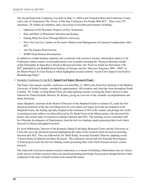The Second Statewide Conference was held on May 12, 2005 at the Columbia Hotel and Conference Center with a title of "Experience The Power: A One Day Conference For People With SCI". There were 279 registrants, 29 vendors & exhibitors, and a succession of excellent presentations including :

- ~ Optimism in SCI Research: Progress of New Treatments
- $\sim$  Nuts and Bolts of Wheelchair Selection and Seating
- Getting What You Need Through Effective Advocacy
- News You Can Use: Update on Preventive Medical and Management of Common Complications After **SCI**
- Ask The Experts Panel Session
- **SCIRF Fund Abstract Presentations**

 In addition to exhibit handout materials and a notebook with extensive resource information relative to all Conference subject matter, several publications were available including the "Paralysis Resource Guide" of the Christopher & Dana Reeve Paralysis Resourced Center; the "Exercise Guide for Individuals with SCI" published by the Rehabilitation Institute of Chicago; and the "Directors Summary 2003—2004" of the Miami Project To Cure Paralysis which highlighted research entitled "Axons Cross Spinal Cord Graft in Breakthrough Study".

#### • Scientific Conference by the **S. C. Spinal Cord Injury Research Fund :**

 The Fund's first annual scientific conference was held May 13, 2005 in the Storm Eye Institute of the Medical University of South Carolina-- attended by approximately 100 scientists and clinicians from throughout South Carolina. Dr. Cuddy, as Fund Board Chair, provided opening remarks covering the Fund's history to date, followed by Fund Scientific Director, Dr. Krause, giving an overview of the scientific accomplishments and future directions.

 James Shepherd, chairman of the Board of Directors of the Shepherd Center in Atlanta GA, made the first formal presentation of the day, describing how his own spinal cord injury led to the development of the Shepherd Center, the leading specialty hospital in the treatment of SCI in the country and perhaps the world. A morning keynote address was then delivered by Dr. Barth Green of the Miami project who discussed the history and current status of research to enhance function after SCI. The morning session concluded with five Principle Investigators of Fund projects from the first two funding rounds presenting their work which focused on clinical and applied research.

 Dr. Scott Whittemore, Director of the Kentucky Spinal Cord Injury Research Center and the University of Louisville, gave the afternoon keynote highlighting the status of his research which focused on restoring function after SCI. This was followed by Dr. Mark Kindy, Associate Scientific Director, updating on the "Current Status of Spinal Cord Injury Research. The conference closed with five Principle Investigators of Fund projects from the first two funding rounds presenting their work which focused on basic science research.

 The Fund looks forward to annual research conferences as a means of building collaborations that are critical to the success of future research endeavors and disseminating knowledge from projects though that have been conducted in the state of South Carolina from around the nation.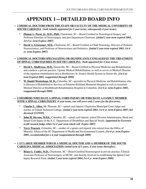## **APPENDIX 1—DETAILED BOARD INFO**

#### **~ 2 MEDICAL DOCTORS FROM THE STAFF OR FACULTY OF THE MEDICAL UNIVERSITY OF SOUTH CAROLINA** *(both initially appointed for 2 year terms, subsequently 4 year terms).*

- Phanor L. Perot, Jr, M.D., PhD., Charleston, SC—Board Certified in Neurological Surgery and Professor Emeritus of Neurosurgery and past Department Chairman. *{initial 2 year term expired 2003, 1st 4 yr. term Expires 2007}*
- **David A. Griesemer, M.D., Charleston, SC—Board Certified in Child Neurology, Director of Pediatric** Neurosciences, and Professor of Neuroscience and Pediatrics. *{initial 2 year term expired 2003, 1st 4 yr. term Expires 2007}*

#### **~ 2 MEDICAL DOCTORS SPECIALIZING OR SIGNIFICANTLY ENGAGED IN THE TREATMENT OF SPINAL CORD INJURIES IN SOUTH CAROLINA** *(both appointed for 4 year terms).*

- David L. Shallcross, M.D., Greenville, SC—Board Certified in Physical Medicine and Rehabilitation and conducts a private practice, Upstate Medical Rehabilitation, as well as serves as Medical Director of the inpatient rehabilitation unit at BonSecours St. Francis Health System in Greenville. *{1st 4 yr. term Expired 2005, reappointed through 2009}*
- **W. Daniel Westerkam, M. D.,** Columbia, SC--specialist in Physical Medicine and Rehabilitation who is Director of Rehabilitative Services at Palmetto Richland Memorial Hospital as well as Associate Medical Director at HealthSouth Rehabilitation Hospital in Columbia. *{1st 4 yr. term Expires 2005, reappointed through 2009}*

#### **~ 2 MEMBERS WHO HAVE A SPINAL CORD INJURY OR WHO HAVE A FAMILY MEMBER WITH A SPINAL CORD INJURY** *(4 year terms, one will serve only 2 years for the first term).*

- \* **Charles L. Allen,** Mt. Pleasant, SC—spinal cord injured, Charleston Municipal Court Judge and teaches at Trident Technical College. *{initial 2 year term expired 2003, 1st 4 yr. term Expires 2007, but deceased 12/29/03}*
- \* **John H. Stevens, M.Ed.,** Columbia, SC—spinal cord injured, retired Division Administrator, Head and Spinal Cord Injury of the S. C. Department of Disabilities and Special Needs. *{appointed by Governor to fill vacated Judge Allen 1st 4 year term which will Expire 2007}*
- **Terry Peacock**, Columbia, SC—mother of a spinal cord injured who retired from the Office of Minority Affairs of the SC Department of Health and Environmental Control. *{1st 4 yr. term Expires 2005, recommended for a 4 year reappointment through 2009}*

#### **~ 1 AT LARGE MEMBER WHO IS A MEDICAL DOCTOR AND A MEMBER OF THE SOUTH CAROLINA MEDICAL ASSOCIATION** *(initial term of 3 years, 4 year terms thereafter).*

**Brian G. Cuddy, M.D., Charleston, SC—Board Certified Neurosurgeon in private practice, Clinical** Associate Professor of Neurosurgery at MUSC, and directly involved in establishing the Spinal Cord Injury Research Fund. *{initial 3 year term expired 2004, 1st 4 yr. term Expires 2008}*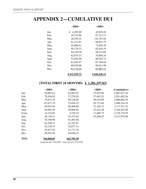## **APPENDIX 2—CUMULATIVE DUI**

|       | $\sim$ 2001 $\sim$ | $\sim$ 2002 $\sim$ |
|-------|--------------------|--------------------|
| Jan.  | 4,285.00<br>\$     | 43,035.45          |
| Feb.  | 10,774.90          | 67,213.13          |
| Mar.  | 26,570.32          | 110,797.84         |
| Apr.  | 41,513.91          | 68,851.75          |
| May.  | 42,606.41          | 73,028.36          |
| June. | 50,170.12          | 82,816.19          |
| July. | 54,159.28          | 58,312.09          |
| Aug.  | 62,635.31          | 76,064.34          |
| Sept. | 53,845.08          | 60,925.72          |
| Oct.  | 61,642.97          | 67,764.04          |
| Nov.  | 60,039.88          | 69,631.96          |
| Dec.  | 63,716.54          | 65,987.31          |
|       | \$531,929.72       | \$849,428.11       |

#### **{TOTAL FIRST 24 MONTHS: \$ 1,381,357.83}**

|             | ~2003~     | $\sim$ 2004 $\sim$                                | $\sim$ 2005 $\sim$ | $\sim$ Cumulative $\sim$ |
|-------------|------------|---------------------------------------------------|--------------------|--------------------------|
| Jan.        | 56,063.61  | 63,663.52                                         | 53,425.96          | 2,863,637.24             |
| Feb.        | 79,548.82  | 57,270.58                                         | 57,445.32          | 2,921,082.56             |
| Mar.        | 75,621.55  | 59,148.68                                         | 59,519.99          | 2,980,602.55             |
| Apr.        | 67,871.19  | 57,654.32.                                        | 65,713.64          | 3,046,316.19             |
| May         | 69,933.84  | 68,408.00                                         | 71,195.33          | 3,117,511.52             |
| June        | 64,092.46  | 49,806.85                                         | 47,422.28          | 3,164,933.80             |
| Extra       | 14,143.05  | 4,318.19                                          | 11,840.75          | 3,176,774.55             |
| July        | 49,138.21  | 55,373.62                                         | 55,200.43          | 3,231,974.98             |
| Aug.        | 70,190.90  | 61,492.46.                                        |                    |                          |
| Sep.        | 62,249.13  | 47,197.81                                         |                    |                          |
| Oct.        | 52,129.53  | 32,037.14                                         |                    |                          |
| Nov.        | 55,817.92  | 51,773.76                                         |                    |                          |
| Dec.        | 49,267.84  | 54,640.47                                         |                    |                          |
| <b>TOT:</b> | 766,068.05 | 662,785.40                                        |                    |                          |
|             |            | {avge per mo. \$ 63,839} {avg. per mo. \$ 55,232} |                    |                          |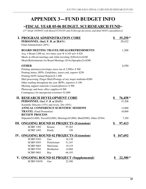## **APPENDIX 3—FUND BUDGET INFO**

#### *~***FISCAL YEAR 05-06 BUDGET, SCI RESEARCH FUND***~*

*{3nd Draft 10/09/05 with Board 07/01/05 and Followup decisions and final 04/05 expenditures}*

| <b>I. PROGRAM ADMINISTRATION CORE</b>                          |                   |                                                                                   | \$<br>$35,250*$  |
|----------------------------------------------------------------|-------------------|-----------------------------------------------------------------------------------|------------------|
| PERSONNEL (Incl. F. B. at 28.6%)                               |                   |                                                                                   | 29,432           |
| Fund Administrator (20%)                                       |                   |                                                                                   |                  |
|                                                                |                   | <b>BOARD MEETING TRAVEL/MEALS/REFRESHMENTS</b>                                    | 1,268            |
| Avg. 4 Board 1200 mi. two times year $\omega$ \$.345 mi= \$828 |                   |                                                                                   |                  |
|                                                                |                   | Meals at official meetings and while traveling $(\$20x4x2)=\$160$                 |                  |
|                                                                |                   | Meals/Refreshments for Board Meetings (\$14x10peoplex2)=\$280                     |                  |
| <b>OTHER</b>                                                   |                   |                                                                                   | 4,550            |
| Printing stationery/envelopes (next run of $2,500$ ) = \$500   |                   |                                                                                   |                  |
| Printing letters, RFPs, Guidelines, insert card, report= \$250 |                   |                                                                                   |                  |
| Printing 04/05 Annual Report=\$1,500                           |                   |                                                                                   |                  |
|                                                                |                   | Mail processing (Target Mail)/Postage of any major mailouts=\$200                 |                  |
| Other mailing throughout the year (RFPs, reports) = $$100$     |                   |                                                                                   |                  |
| Meeting support materials (visuals/photos)= $$500$             |                   |                                                                                   |                  |
| Photocopy and basic office supplies=\$500                      |                   |                                                                                   |                  |
| Contingency for unexpected overruns= \$1,000                   |                   |                                                                                   |                  |
| <b>II. RESEARCH DEVELOPMENT CORE</b>                           |                   |                                                                                   | \$<br>$76,458*$  |
| PERSONNEL (Incl. F. B. at 28.6%)                               |                   |                                                                                   | 47,208           |
| Scientific Director (15%) and Assoc. Dir (10%)                 |                   |                                                                                   |                  |
| <b>TRAVEL</b> (Fund Promotion)                                 |                   | ANNUAL CONFERENCE SCIENTIFIC SESSIONS                                             | 12,000<br>10,000 |
| <b>REVIEW PROCESS</b>                                          |                   |                                                                                   |                  |
|                                                                |                   | Stipends(\$1,000), Travel(\$2,000), Meetings(\$3,000), Mail(\$500), Other (\$704) | 7,250            |
|                                                                |                   | <b>III. ONGOING ROUND 01 PROJECTS (Extension)</b>                                 | \$<br>97,413     |
| <b>SCIRF 1302</b>                                              | Krause            | 97,263                                                                            |                  |
| <b>SCIRF 1402</b>                                              | Kindy             | 150                                                                               |                  |
|                                                                |                   | <b>IV. ONGOING ROUND 02 PROJECTS (Extension)</b>                                  | \$<br>167,692    |
| <b>SCIRF 0303</b>                                              | Gao               | 16,138                                                                            |                  |
| <b>SCIRF 0503</b>                                              | Pickelsimer       | 51,347                                                                            |                  |
| <b>SCIRF 0603</b>                                              | Morrisette        | 19,119                                                                            |                  |
| <b>SCIRF 0703</b>                                              | <b>Brotherton</b> | 14,868                                                                            |                  |
| <b>SCIRF 0803</b>                                              | Ray               | 66,193                                                                            |                  |
|                                                                |                   | V. ONGOING ROUND 02 PROJECT (Supplemental)                                        | \$<br>$22,300*$  |
| <b>SCIRF 0303S</b>                                             | Gao               | 22,300                                                                            |                  |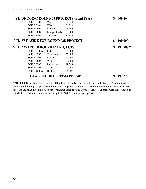|                                        |                | VI. ONGOING ROUND 03 PROJECTS (Final Year) | 409,664         |
|----------------------------------------|----------------|--------------------------------------------|-----------------|
| <b>SCIRF 0104</b>                      | Webb           | 102,049                                    |                 |
| <b>SCIRF 0304</b>                      | Wise           | 104,720                                    |                 |
| <b>SCIRF 0604</b>                      | Murday         | 23,105                                     |                 |
| <b>SCIRF 0804</b>                      | Monger/Godk    | 67,904                                     |                 |
| <b>SCIRF 1004</b>                      | Selassie       | 111,886                                    |                 |
| VII. SET ASIDE FOR ROUND 02B PROJECT   |                |                                            | \$<br>100,000   |
| <b>VIII. AWARDED ROUND 04 PROJECTS</b> |                |                                            | 284,598 *<br>\$ |
| SCIRF 0105A                            | Fritz          | \$5,000                                    |                 |
| <b>SCIRF 0205</b>                      | Tomlinson      | 25,000                                     |                 |
| SCIRF 0505A                            | <b>Metters</b> | 25,000                                     |                 |
| <b>SCIRF 0605</b>                      | Wen            | 100,000                                    |                 |
| <b>SCIRF 0705</b>                      | Pickelsimer    | 119,598                                    |                 |
| SCIRF 0805A                            | Yuen           | 5,000                                      |                 |
| SCIRF 1005A                            | <b>Bridges</b> | 5,000                                      |                 |
|                                        |                | <b>TOTAL BUDGET ESTIMATE 05/06</b>         | \$1,193,375     |

**\*NOTE:** These four items totaling \$ 418,606 are the only new commitments in the budget. The remainder were committed in prior years. The three Round 04 projects with an "A" following the number were requested to revise and resubmit in mid-October for another Scientific and Board Review. If all three were fully funded, it could add an additional commitment of up to \$ 360,000 for a two year period.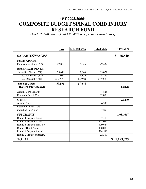## *~FY 2005/2006~* **COMPOSITE BUDGET SPINAL CORD INJURY RESEARCH FUND**

*{DRAFT 3--Based on final FY 04/05 receipts and expenditures}*

|                             | <b>Base</b> | F.B. $(28.6\%)$ | <b>Sub-Totals</b> | <b>TOTALS</b>   |
|-----------------------------|-------------|-----------------|-------------------|-----------------|
| <b>SALARIES/WAGES</b>       |             |                 |                   | \$<br>76,640    |
| <b>FUND ADMIN.</b>          |             |                 |                   |                 |
| Fund Administrator(20%)     | 22,887      | 6,545           | 29,432            |                 |
| <b>RESEARCH DEVEL.</b>      |             |                 |                   |                 |
| Scientific Direct. $(15\%)$ | 25,678      | 7,344           | 33,022            |                 |
| Assoc. Sci. Direct. (10%)   | 11,031      | 3,155           | 14,186            |                 |
| (Res. Dev. Sub-Total)       | (36, 709)   | (10, 499)       | (47,208)          |                 |
| <b>S/W Sub-Totals</b>       | 59,596      | 17,044          |                   |                 |
| <b>TRAVEL</b> (staff/Board) |             |                 |                   | 12,828          |
| Admin. Core (Board)         |             |                 | 828               |                 |
| Research Devel. Core        |             |                 | 12,000            |                 |
| <b>OTHER</b>                |             |                 |                   | 22,240          |
| Admin. Core                 |             |                 | 4,990             |                 |
| Research Devel. Core        |             |                 |                   |                 |
| including Sci. Conf.        |             |                 | 17,250            |                 |
| <b>SUBGRANTS</b>            |             |                 |                   | 1,081,667       |
| Round 1 Projects Exten.     |             |                 | 97,413            |                 |
| Round 2 Projects Exten.     |             |                 | 167,692           |                 |
| Round 3 Projects Final Yr.  |             |                 | 409,664           |                 |
| Round 2B Set Aside          |             |                 | 100,000           |                 |
| Round 4 Projects Award      |             |                 | 284,598           |                 |
| Round 2 Project Supplem.    |             |                 | 22,300            |                 |
| <b>TOTAL</b>                |             |                 |                   | \$<br>1,193,375 |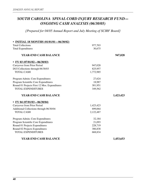### *SOUTH CAROLINA SPINAL CORD INJURY RESEARCH FUND— ONGOING CASH ANALYSIS (06/30/05)*

*{Prepared for 04/05 Annual Report and July Meeting of SCIRF Board}*

| • INITIAL 18 MONTHS (01/01/01-06/30/02)      |           |           |
|----------------------------------------------|-----------|-----------|
| <b>Total Collections</b>                     | 977,703   |           |
| <b>Total Expenditures</b>                    | 30,675    |           |
| <b>YEAR-END CASH BALANCE</b>                 |           | 947,028   |
| • FY 03 $(07/01/02 - 06/30/03)$              |           |           |
| Carryover from Prior Period                  | 947,028   |           |
| DUI Collections through 06/30/03             | 825,957   |           |
| <b>TOTAL CASH</b>                            | 1,772,985 |           |
| Program Admin. Core Expenditures             | 27,624    |           |
| Program Scientific Core Expenditures         | 18,987    |           |
| Round 01 Projects First 12 Mos. Expenditures | 301,951   |           |
| <b>TOTAL EXPENDITURES</b>                    | 349,562   |           |
| YEAR-END CASH BALANCE                        |           | 1,423,423 |
| • FY 04 $(07/01/03 - 06/30/04)$              |           |           |
| Carryover from Prior Period                  | 1,423,423 |           |
| Additional Collections through 06/30/04      | 699,064   |           |
| <b>TOTAL CASH</b>                            | 2,122,487 |           |
| Program Admin. Core Expenditures             | 32,184    |           |
| Program Scientific Core Expenditures         | 21,093    |           |
| Round 01 Projects Expenditures               | 228,719   |           |
| Round 02 Projects Expenditures               | 386,838   |           |
| <b>TOTAL EXPENDITURES</b>                    | 668,834   |           |
| <b>YEAR-END CASH BALANCE</b>                 |           | 1,453,653 |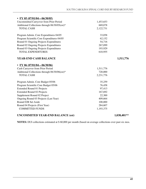| • FY 05 $(07/01/04 - 06/30/05)$               |           |             |
|-----------------------------------------------|-----------|-------------|
| Uncommitted Carryover from Prior Period       | 1,453,653 |             |
| Additional Collections through 06/30/05(est)* | 669,078   |             |
| <b>TOTAL CASH</b>                             | 2,122,731 |             |
| Program Admin. Core Expenditures 04/05        | 33,058    |             |
| Program Scientific Core Expenditures 04/05    | 62,152    |             |
| Round 01 Ongoing Projects Expenditures        | 54,716    |             |
| Round 02 Ongoing Projects Expenditures        | 267,099   |             |
| Round 03 Ongoing Projects Expenditures        | 193,929   |             |
| <b>TOTAL EXPENDITURES</b>                     | 610,955   |             |
| YEAR-END CASH BALANCE                         |           | 1,511,776   |
| • FY 06 $(07/01/04 - 06/30/06)$               |           |             |
| Cash Carryover from Prior Period              | 1,511,776 |             |
| Additional Collections through 06/30/06(est)* | 720,000   |             |
| <b>TOTAL CASH</b>                             | 2,231,776 |             |
| Program Admin. Core Budget 05/06              | 35,259    |             |
| Program Scientific Core Budget 05/06          | 76,458    |             |
| <b>Extended Round 01 Projects</b>             | 97,413    |             |
| <b>Extended Round 02 Projects</b>             | 167,692   |             |
| Supplement Round 02 Project                   | 22,300    |             |
| Ongoing Round 03 Projects (Last Year)         | 409,664   |             |
| Round 02B Set Aside                           | 100,000   |             |
| Round 04 Projects (First Year)                | 284,607   |             |
| <b>COMMITTED FUNDS</b>                        | 1,193,375 |             |
| <b>UNCOMMITED YEAR-END BALANCE (est)</b>      |           | 1,038,401** |

**NOTES:** DUI collections estimated at \$ 60,000 per month (based on average collections over past six mos.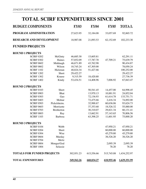## **TOTAL SCIRF EXPENDITURES SINCE 2001**

| <b>BUDGET COMPONENTS</b>          |                   | <b>FY03</b> | <b>FY04</b> | <b>FY05</b> | <b>TOTAL</b> |
|-----------------------------------|-------------------|-------------|-------------|-------------|--------------|
| PROGRAM ADMINISTRATION            |                   | 27,623.95   | 32,184.08   | 33,057.69   | 92,865.72    |
| <b>RESEARCH AND DEVELOPMENT</b>   |                   | 18,987.08   | 21,093.53   | 62,152.69   | 102,233.30   |
| <b>FUNDED PROJECTS</b>            |                   |             |             |             |              |
| <b>ROUND 1 PROJECTS</b>           |                   |             |             |             |              |
| <b>SCIRF 0202</b>                 | McGinty           | 46,685.30   | 15,605.81   |             | 62,291.11    |
| <b>SCIRF 0302</b>                 | Haines            | 57,852.09   | 17,787.70   | 47,709.21   | 75,639.79    |
| <b>SCIRF 0602</b>                 | Middaugh          | 46,671.89   | 43,762.98   |             | 90,434.87    |
| <b>SCIRF 0802</b>                 | Wilson            | 10,745.24   | 67,305.00   |             | 78,050.24    |
| <b>SCIRF 1102</b>                 | Hickman           | 48,824.34   | 51,427.66   |             | 100,252.00   |
| <b>SCIRF 1202</b>                 | Short             | 29,422.27   |             |             | 29,422.27    |
| <b>SCIRF 1302</b>                 | Krause            | 9,315.59    | 18,420.80   |             | 27,736.39    |
| <b>SCIRF 1402</b>                 | Kindy             | 53,434.51   | 14,408.96   | 7,006.92    | 67,843.47    |
| <b>ROUND 2 PROJECTS</b>           |                   |             |             |             |              |
| <b>SCIRF 0103</b>                 | Short             |             | 50,541.45   | 14,457.00   | 64,998.45    |
| <b>SCIRF 0903</b>                 | <b>Bhat</b>       |             | 13,970.13   | 10,881.91   | 24,852.04    |
| <b>SCIRF 0303</b>                 | Gao               |             | 72,136.93   | 61,614.78   | 133,751.71   |
| <b>SCIRF 0403</b>                 | Molnar            |             | 72,475.66   | 2,416.34    | 74,892.00    |
| <b>SCIRF 0503</b>                 | Pickelsheim.      |             | 32,988.67   | 60,636.06   | 93,624.73    |
| <b>SCIRF 0603</b>                 | Morrisette        |             | 37,353.68   | 18,526.32   | 55,880.00    |
| <b>SCIRF 0703</b>                 | <b>Brotherton</b> |             | 30,310.07   | 29,821.34   | 60,131.41    |
| <b>SCIRF 0803</b>                 | Ray               |             | 13,662.91   | 57,143.65   | 70,806.56    |
| <b>SCIRF 1103</b>                 | Barbosa           |             | 63,398.25   | 11,601.95   | 75,000.20    |
| <b>ROUND 3 PROJECTS</b>           |                   |             |             |             |              |
| <b>SCIRF 0104</b>                 | Webb              |             |             | 47,950.21   | 47,950.21    |
| <b>SCIRF 0204</b>                 | Short             |             |             | 60,000.00   | 60,000.00    |
| <b>SCIRF 0304</b>                 | Wise              |             |             | 45,279.80   | 45,279.80    |
| <b>SCIRF 0604</b>                 | Murday            |             |             | 38,526.20   | 38,526.20    |
| <b>SCIRF 0704</b>                 | Mertz             |             |             |             |              |
| <b>SCIRF 0804</b>                 | Monger/God        |             |             | 2,095.39    | 2,095.39     |
| <b>SCIRF 1004</b>                 | Selassie          |             |             | 78.20       | 78.20        |
| <b>TOTALS FOR FUNDED PROJECTS</b> |                   | 302,951.23  | 615,556.66  | 515,745.08  | 1,434,252.97 |
| <b>TOTAL EXPENDITURES</b>         |                   | 349,562.26  | 668,834.27  | 610,955.46  | 1,629,351.99 |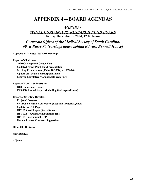## **APPENDIX 4—BOARD AGENDAS**

#### *AGENDA~*

#### *SPINAL CORD INJURY RESEARCH FUND BOARD* **Friday December 3, 2004, 12:00 Noon**

*Corporate Offices of the Medical Society of South Carolina, 69- B Barre St. (carriage house behind Edward Bennett House)*

**Approval of Minutes (06/25/04 Meeting)** 

**Report of Chairman 10/01/04 Shepherd Center Visit Updated Power Point Fund Presentation Meeting Presentations (06/04, 10/23/04, & 10/26/04) Update on Vacant Board Appointment Entry in Legislative Manual/State Web Page**

**Report of Fund Administrator DUI Collections Update FY 03/04 Annual Report (including final expenditures)** 

**Report of Scientific Directors**

 **Projects' Progress 05/13/05 Scientific Conference (Location/Invitees/Agenda) Update on Web Page RFP 02A—still open (Recruitment) RFP 02B—revised Rehabilitation RFP RFP 04—new annual RFP Review Process Concerns/Suggestions** 

**Other Old Business**

**New Business**

**Adjourn**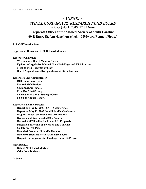#### *~AGENDA~ SPINAL CORD INJURY RESEARCH FUND BOARD* **Friday July 1, 2005, 12:00 Noon Corporate Offices of the Medical Society of South Carolina, 69-B Barre St. (carriage house behind Edward Bennett House)**

**Roll Call/Introductions**

**Approval of December 03, 2004 Board Minutes**

**Report of Chairman**

- **Welcome new Board Member Stevens**
- **Update on Legislative Manual, State Web Page, and PR initiatives**
- **Meeting with Governor or Staff**
- **Board Appointments/Reappointments/Officer Election**

**Report of Fund Administrator**

- **DUI Collections Update**
- **Revised 05/06 Budget**
- **Cash Analysis Update**
- **First Draft 06/07 Budget**
- **FY 06 and Five Year Strategic Goals**
- **FY 04/05 Annual Report**

**Report of Scientific Directors**

- **Report on May 12, 2005 SCSCIA Conference**
- **Report on May 13, 2005 Fund Scientific Conference**
- **Progress Report on Round 01/02/03 Projects**
- **Discussion of Any Potential 02A Proposals**
- **Revised RFP/Timeline for Round 02B Proposals**
- **Discussion of Round 05 Priorities and Timeline**
- **Update on Web Page**
- **Round 04 Proposals/Scientific Reviews**
- **Round 04 Scientific Review Summary Sheets**
- **Request for Supplemental Funding, Round 02 Project**

#### **New Business**

- **Date of Next Board Meeting**
- **Other New Business**

#### **Adjourn**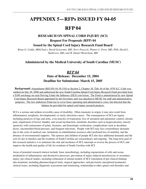## **APPENDIX 5—RFPs ISSUED FY 04-05**

## **RFP 04**

#### **RESEARCH ON SPINAL CORD INJURY (SCI)**

**Request For Proposals (RFP) 04** 

**Issued by the Spinal Cord Injury Research Fund Board**

 *Brian G. Cuddy, MD(Chair), David Griesemer, MD, Terry Peacock, Phanor L. Perot, MD, PhD, David L. Shallcross, MD, and W. Daniel Westerkam, MD*

#### **Administered by the Medical University of South Carolina (MUSC)**

#### *RFP 04* **Date of Release: December 15, 2004 Deadline for Submission: March 15, 2005**

**Background:** Amendment (Bill S54 44-38-510) to Section 2, Chapter 38, Title 44 of the 1976 S.C. Code was ratified on July 20, 2000 and authorized the new South Carolina Spinal Cord Injury Research Fund provided from a \$100 surcharge on each Driving Under the Influence (DUI) conviction. The Fund is administered by new Spinal Cord Injury Research Board appointed by the Governor, and was attached to MUSC for staff and administrative purposes. The law authorizes Fund use to cover basic operating and administrative costs, but directed that the balance be provided for spinal cord injury research projects.

SCI is a serious and seldom reversible cause of disability. Often traumatic in origin, it may also result from inflammatory, neoplastic, developmental, or rarely infectious causes. The consequences of SCI are legion, including paralysis of legs and arms, even muscles of respiration; loss of sensation and autonomic control; chronic pain; impairment of bowel, bladder, and sexual dysfunction; metabolic disorders such as hypercalcemia; muscle spasticity with contractures of joints, fractures, and heterotopic ossification; complications such as decubitus ulcers, uncontrolled blood pressure, and frequent infections. People with SCI may face extraordinary demands due to the costs of medical care, limitations in rehabilitation resources after profound loss of mobility, and the absence of environmental supports. The spouses and children of people SCI also face additional demands and the cost of care to families and the residents of South Carolina are extraordinary and ongoing. The long-term goal of this research initiative is to minimize the risk and incidence of SCI, interrupt or reverse the process of SCI, and improve the health and quality of life for residents of South Carolina with SCI.

Areas of potential research interest include: basic neurobiology, including regeneration of cells and axons, modulation of inflammatory and destructive processes, prevention of injury-induced neurotoxicity or secondary injury; pre-clinical studies, including refinement of animal models of SCI; translation of pre-clinical findings into treatment, including pharmacological trials, surgical approaches, and previously unexplored treatments; clinical issues, including diagnostic assessment and monitoring, relationship to other spinal cord disorders and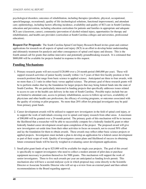psychological disorders; outcomes of rehabilitation, including therapies (prosthetic, physical, occupational, speech/language, recreational), quality of life (technological solutions, functional improvement), and attendant care; epidemiology, including factors affecting incidence, availability and quality of SCI care in South Carolina; education and prevention, including education curriculum for patients and families in appropriate and adequate SCI care (classroom, career), community (prevention of alcohol-related injury, opportunities for therapy and rehabilitation), and health care providers (curriculum at South Carolina colleges and universities, professional education).

**Request For Proposals:** The South Carolina Spinal Cord Injury Research Board invites grant and contract applications for research on all aspects of spinal cord injury (SCI) in an effort to develop better understanding and ultimately treatment for paralysis and other consequences of spinal cord injury and disease. This is the fourth annual call for grants that outline innovative and potentially groundbreaking research. It is estimated that \$800,000 will be available for projects funded in response to this request.

#### **Funding Mechanisms**

- 1. Primary research grants will not exceed \$120,000 over a 24-month period (\$60,000 per year). These will support research activities of junior faculty (usually within 1 to 5 years of their first faculty position or first research position) that range from basic science to applied science. Anticipated are three to four awards, with no more than a 2:1 ratio in either basic versus applied science. The primary goal of these research grants will be to perform studies that lay the foundation for larger projects that may being federal funds into the state of South Carolina. We are particularly interested in funding projects that specifically addresses issues related to access to care or the health care delivery in the state of South Carolina. Possible topics include but are not limited to attendant care, access to primary rehabilitation, access to follow-up services, availability of physicians and other health care professions, the efficacy of existing programs, or outcomes associated with the quality of existing or pilot programs. No more than 20% effort for principal investigator may be paid from primary grant funds.
- 2. Career development awards will be utilized to support new investigators in the field of spinal cord injury, or to support the work of individuals crossing over to spinal cord injury research from other areas. A maximum of \$90,000 will be granted over a 24-month period. The primary goals of this mechanism will be to increase the likelihood that a researcher will be able to successfully compete for a federally funded K grant or other federally funded career development award upon completion of the project. The proposed award will give new investigators set-aside time from their other activities to focus on research, not to exceed 50% effort and lay the foundation for them to obtain awards. These awards may reflect either basic science projects or applied projects. Investigators must include a plan to develop an application for a federal career development as part of their scope of work. Quality of investigators career plans and likelihood of success in obtaining future extramural funds will be heavily weighed in evaluating career development applications.
- 3. Small pilot grant funds of up to \$25,000 will be available for single year projects. The goal of this award is specifically to support investigators who need to collect a modest amount of pilot data or purchase equipment necessary to position themselves for NIH grants. This mechanism will support the work of senior investigators. Three to five such awards per year are anticipated as funding levels permit. This mechanism also will have a second midyear cycle in which proposal may come directly to the Scientific Director or Associate Scientific Director who will set up a review from an external panel and then submit recommendations to the Board regarding approval.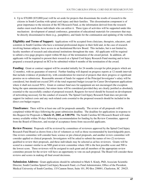4. Up to \$70,000 (\$35,000/year) will be set aside for projects that disseminate the results of research to the citizens in South Carolina with spinal cord injury and their families. This dissemination component is of great importance to the mission of the SCI Research Fund, as the information derived from the research studies must reach those individuals who can utilize it. Three types of activities will be supported under this mechanism: development of annual conference, generation of educational materials for consumers that may be directly disseminated to them (e.g., pamphlets), and funds for the continuation and updating of the website.

**Eligibility and Terms of Support:** Applications will be accepted from clinicians, therapists, educators, and scientists in South Carolina who have a terminal professional degree in their field and, in the case of research involving human subjects, have access to an Institutional Review Board. This includes, but is not limited to, faculty members of research and educational institutions throughout the state. All applicants will be required to submit a two-page progress report within 60 days of the termination of the award period. In addition, all applicants will be required to present their research at a Spinal Cord Injury Research Fund meeting and to have prepared a research proposal on SCI to be submitted within 6 months of the termination of the award.

**Funding:** Grant or contract support will be awarded initially for 24 months (except for pilot projects which are 12 months), with no guarantee of renewal. Further funding will depend on progress reports at 12-month intervals that include evidence of productivity, with consideration for renewal of projects that show progress or significant promise on re-submission. Reasonable amount of funds for support of the Principal Investigator's salary will be considered, but should not exceed 20% of the total requested budget (except for Career Development applications where it shall not exceed 50%). Grant or contract fund uses for equipment are not encouraged (the exception being the open announcement), but minor items will be considered provided they are clearly justified as absolutely essential to the successfully conduct of proposed research. Requests for travel should be focused on development of networking necessary for the conduct of research. The Spinal Cord Injury Research Fund does not provide support for indirect costs and any such related costs essential to the proposed research should be included in the direct cost budget request.

**Timeframes:** There will be at least one call for proposals annually. The review of all proposals will be completed within 60 days following the grant submission deadline. The deadline for applications in response to this Request for Proposals is **March 15, 2005, at 5:00 PM.** The South Carolina SCI Research Board will make money available within 30 days following a recommendation for funding by the Review Committee, approval from the Board of Directors, and receipt of acceptance forms from successful applicants.

**Review Process:** Proposals will be reviewed by committees of reviewers approved by the Spinal Cord Injury Research Fund Board as drawn from a list of volunteers as well as those recommended by knowledgeable peers. One review committee will consider basic science or pre-clinical proposals, and another review committee will consider applied or clinical proposals. Investigators will be asked to submit the names of two (2) reviewers qualified to review their proposals, and these individuals may be selected as ad hoc reviewers. Grants will be scored in a manner similar to an NIH grant review committee where 100 is the best possible score and 500 is the lowest score. Three reviewers will be assigned to each grant and all members of the appropriate review committee present for the review will have an opportunity to vote on each proposal. The Board will consider these reviews and scores in making all final award decisions.

**Submission Address:** Grant applications should be submitted to Mark S. Kindy, PhD, Associate Scientific Director, South Carolina Spinal Cord Injury Research Fund, c/o Fund Administrator, Office of the President, Medical University of South Carolina, 135 Cannon Street, Suite 101, PO Box 250001, Charleston, SC 29425.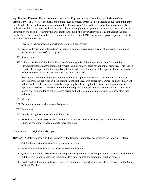**Application Format:** The proposal must not exceed 12 pages in length, including the biosketch of the Principal Investigator. Pilot proposals should not exceed 5 pages. Proposals not adhering to page limitation may be refused. Please send a cover letter and complete the face page (attached to the end of this announcement) indicating which of the grant mechanisms to which you are applying and you may include the names and contact information for up to 2 reviewers who are experts in the field (this cover letter will not count against the page limit). The format is similar to that of a National Institutes of Health (NIH) research proposal. Specific elements that should be included are:

- I. Face page (name, position, department, proposal title, abstract)
- II. Response to previous critique (only for renewal applications or resubmission of a previously unfunded proposal – maximum of 1 extra page)
- III. Specific aims
- IV. Value to the State of South Carolina (benefit to the people of the State and/or plans for obtaining extramural funding and/or compatibility with Fund's primary objectives and initial priorities. This section is particularly important to those applying for set aside funds for a project that specifically addresses the health care needs of individuals with SCI in South Carolina.)
- V. Background and rationale (Note: Career Development applications should focus on their rationale on how the proposed activities will facilitate the applicant's research career development and how the award will assist the applicant in successfully competing for a federally funded career development award. Applicants also need to describe and highlight the qualifications of at least one mentor who will provide mentorship to them during the 24-month period and outline a plan for mentorship (e.g., how often they will meet).
- VI. Methods
- VII. Evaluation strategy (with measurable goals)
- VIII. References
- IX. Detailed Budget (with narrative justification)
- X. Biosketch (abridged NIH format, additional biosketches for each co-investigator should be included, adjusting page limit to accommodate more than one)

Please submit the original and six copies.

**Review Criteria:** Proposals will be reviewed by the Review Committees according to the following criteria:

- 1. Originality and significance of the hypothesis or product.
- 2. Feasibility and adequacy of the proposed research or product.
- 3. Qualifications and experience of the Principal Investigator and other key personnel. Special consideration will be given to new faculty and individuals less familiar with the extramural funding process.
- 4. Likelihood of the project ultimately receiving extramural support and/or benefiting the people of the State of South Carolina.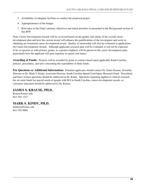- 5. Availability of adequate facilities to conduct the proposed project
- 6. Appropriateness of the budget.
- 7. Relevance to the Fund's primary objectives and initial priorities as presented in the Background section of this RFP.

Note: Career Development Awards will be reviewed based on the quality and clarity of the overall career development plan and how the current award will enhance the qualifications of the investigator and assist in obtaining an extramural career development award. Quality of mentorship will also be evaluated in applications for Career Development Awards. Although applicants research plan will be evaluated, it will not be expected to be as rigorous as with primary grants, as a greater emphasis will be placed on the career development plan, particularly how the applicant will gain expertise in spinal cord injury.

**Awarding of Funds:** Projects will be awarded by grant or contract based upon applicable South Carolina policies, procedures, and laws concerning the expenditure of State funds.

**For Questions or Additional Information:** Potential applicants should contact Dr. James Krause, Scientific Director or Dr. Mark S. Kindy, Associate Director, South Carolina Spinal Cord Injury Research Fund. Procedural and basic science questions should be addressed to Dr. Kindy. Questions regarding applied or clinical research, the set aside funds for special needs of people with SCI in South Carolina, career development awards, or consumer education should be addressed to Dr. Krause.

#### **JAMES S. KRAUSE, PH.D.**

Krause@musc.edu 843-792-1337

843-792-0808

**MARK S. KINDY, PH.D.** kindyms@musc.edu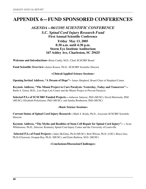## **APPENDIX 6—FUND SPONSORED CONFERENCES**

#### *AGENDA—06/13/05 SCIENTIFIC CONFERENCE S.C. Spinal Cord Injury Research Fund* **First Annual Scientific Conference**

#### **Friday May 13, 2005 8:30 a.m. until 4:30 p.m. Storm Eye Institute Auditorium 167 Ashley Ave, Charleston, SC 29425**

**Welcome and Introductions--**Brian Cuddy, M.D., Chair SCSCIRF Board

**Fund Scientific Overview--**James Krause, Ph.D., SCSCIRF Scientific Director

#### **~Clinical/Applied Science Sessions~**

**Opening Invited Address, "A Dream of Hope"--** James Shepherd, Board Chair of Shepherd Center

**Keynote Address, "The Miami Project to Cure Paralysis: Yesterday, Today and Tomorrow"—** Barth A. Green, M.D., Lois Pope Life Center and the Miami Project to Prevent Paralysis

**Selected P.I.s of SCSCIRF Funded Projects—**Anbesaw Salassie, PhD (MUSC); David Morrisette, PhD (MUSC); Elisabeth Pickelsimer, PhD (MUSC); and Sandra Brotherton, PhD (MUSC)

#### **~Basic Science Sessions~**

**Current Status of Spinal Cord Injury Research—**Mark S. Kindy, Ph.D., Associate SCSCIRF Scientific Director

**Keynote Address, "The Myths and Realities of Stem Cell Repair for Spinal Cord Injury"-- –** Scott Whittemore, Ph.D., Director, Kentucky Spinal Cord Injury Center and the University of Louisville

**Selected P.I.s of Fund Projects—**Jakie McGinty, Ph.D.(MUSC); Britt Wilson, Ph.D. (USC); Bruce Gao, Ph.D.(Clemson); Swapan Ray, Ph.D. (MUSC); and Ernie Barbosa, M.D. (MUSC)

#### **~Conclusions/Discussion/Challenges~**